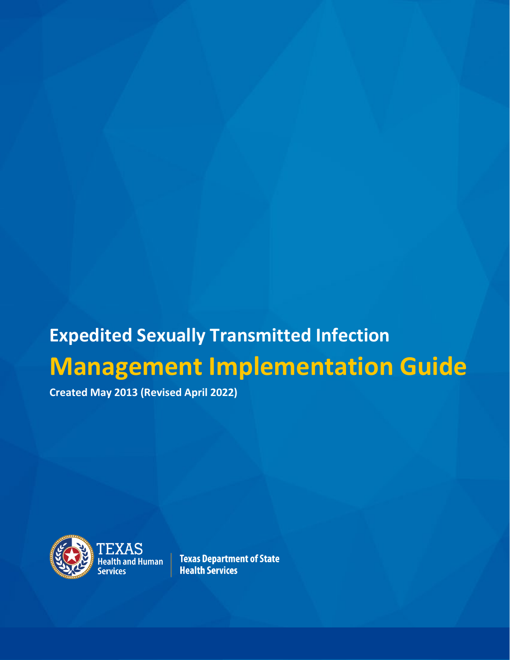# **Expedited Sexually Transmitted Infection Management Implementation Guide**

**Created May 2013 (Revised April 2022)**



 $\overline{\text{TEXAS}}$ Health and Human $\; \; \vert$ 

**Texas Department of State Health Services**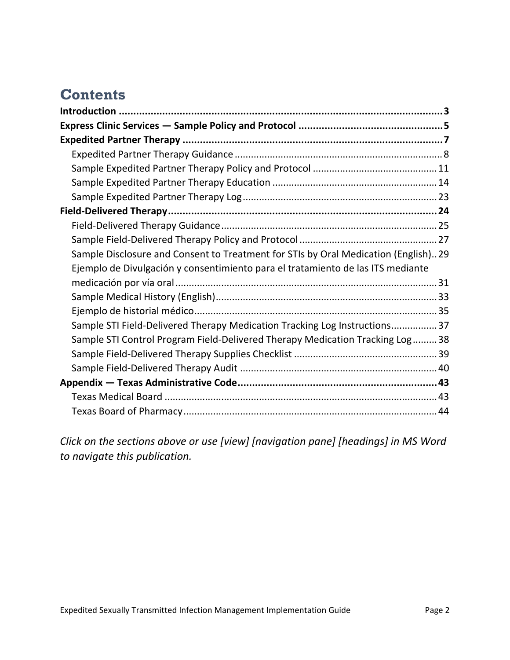# **Contents**

| Sample Disclosure and Consent to Treatment for STIs by Oral Medication (English)29 |  |
|------------------------------------------------------------------------------------|--|
| Ejemplo de Divulgación y consentimiento para el tratamiento de las ITS mediante    |  |
|                                                                                    |  |
|                                                                                    |  |
|                                                                                    |  |
| Sample STI Field-Delivered Therapy Medication Tracking Log Instructions37          |  |
| Sample STI Control Program Field-Delivered Therapy Medication Tracking Log38       |  |
|                                                                                    |  |
|                                                                                    |  |
|                                                                                    |  |
|                                                                                    |  |
|                                                                                    |  |

*Click on the sections above or use [view] [navigation pane] [headings] in MS Word to navigate this publication.*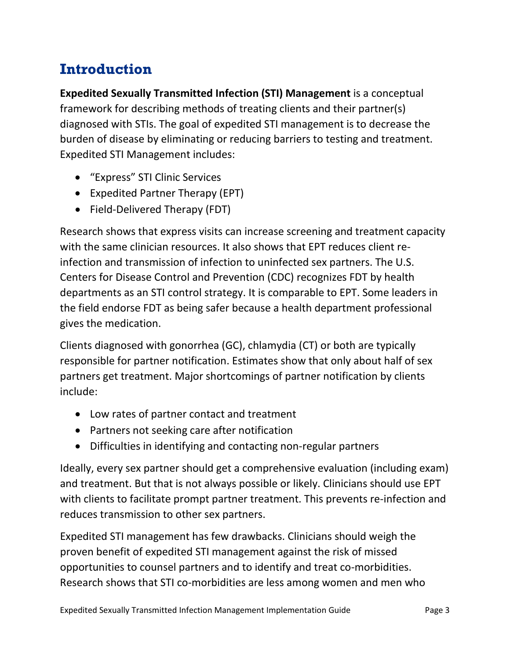# <span id="page-2-0"></span>**Introduction**

**Expedited Sexually Transmitted Infection (STI) Management** is a conceptual framework for describing methods of treating clients and their partner(s) diagnosed with STIs. The goal of expedited STI management is to decrease the burden of disease by eliminating or reducing barriers to testing and treatment. Expedited STI Management includes:

- "Express" STI Clinic Services
- Expedited Partner Therapy (EPT)
- Field-Delivered Therapy (FDT)

Research shows that express visits can increase screening and treatment capacity with the same clinician resources. It also shows that EPT reduces client reinfection and transmission of infection to uninfected sex partners. The U.S. Centers for Disease Control and Prevention (CDC) recognizes FDT by health departments as an STI control strategy. It is comparable to EPT. Some leaders in the field endorse FDT as being safer because a health department professional gives the medication.

Clients diagnosed with gonorrhea (GC), chlamydia (CT) or both are typically responsible for partner notification. Estimates show that only about half of sex partners get treatment. Major shortcomings of partner notification by clients include:

- Low rates of partner contact and treatment
- Partners not seeking care after notification
- Difficulties in identifying and contacting non-regular partners

Ideally, every sex partner should get a comprehensive evaluation (including exam) and treatment. But that is not always possible or likely. Clinicians should use EPT with clients to facilitate prompt partner treatment. This prevents re-infection and reduces transmission to other sex partners.

Expedited STI management has few drawbacks. Clinicians should weigh the proven benefit of expedited STI management against the risk of missed opportunities to counsel partners and to identify and treat co-morbidities. Research shows that STI co-morbidities are less among women and men who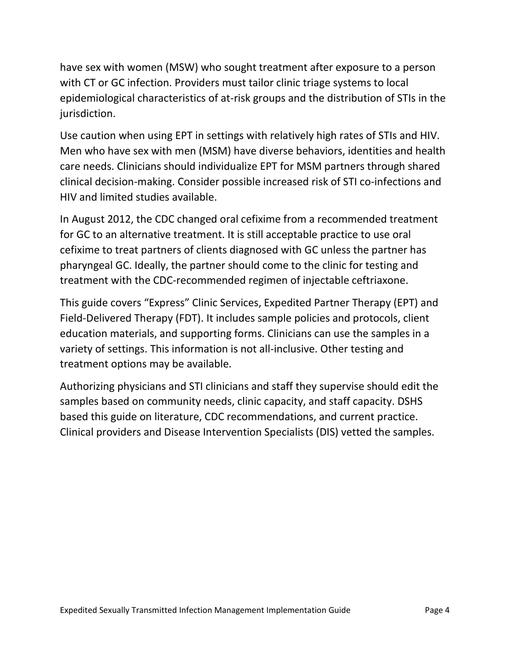have sex with women (MSW) who sought treatment after exposure to a person with CT or GC infection. Providers must tailor clinic triage systems to local epidemiological characteristics of at-risk groups and the distribution of STIs in the jurisdiction.

Use caution when using EPT in settings with relatively high rates of STIs and HIV. Men who have sex with men (MSM) have diverse behaviors, identities and health care needs. Clinicians should individualize EPT for MSM partners through shared clinical decision-making. Consider possible increased risk of STI co-infections and HIV and limited studies available.

In August 2012, the CDC changed oral cefixime from a recommended treatment for GC to an alternative treatment. It is still acceptable practice to use oral cefixime to treat partners of clients diagnosed with GC unless the partner has pharyngeal GC. Ideally, the partner should come to the clinic for testing and treatment with the CDC-recommended regimen of injectable ceftriaxone.

This guide covers "Express" Clinic Services, Expedited Partner Therapy (EPT) and Field-Delivered Therapy (FDT). It includes sample policies and protocols, client education materials, and supporting forms. Clinicians can use the samples in a variety of settings. This information is not all-inclusive. Other testing and treatment options may be available.

Authorizing physicians and STI clinicians and staff they supervise should edit the samples based on community needs, clinic capacity, and staff capacity. DSHS based this guide on literature, CDC recommendations, and current practice. Clinical providers and Disease Intervention Specialists (DIS) vetted the samples.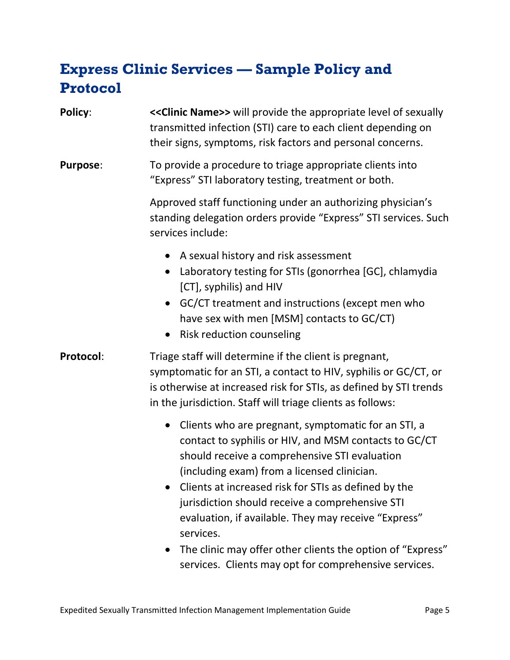# <span id="page-4-0"></span>**Express Clinic Services — Sample Policy and Protocol**

| <b>Policy:</b>  | << Clinic Name>> will provide the appropriate level of sexually<br>transmitted infection (STI) care to each client depending on<br>their signs, symptoms, risk factors and personal concerns.                                                                                                                                                                                                                                                                                                                                                 |
|-----------------|-----------------------------------------------------------------------------------------------------------------------------------------------------------------------------------------------------------------------------------------------------------------------------------------------------------------------------------------------------------------------------------------------------------------------------------------------------------------------------------------------------------------------------------------------|
| <b>Purpose:</b> | To provide a procedure to triage appropriate clients into<br>"Express" STI laboratory testing, treatment or both.                                                                                                                                                                                                                                                                                                                                                                                                                             |
|                 | Approved staff functioning under an authorizing physician's<br>standing delegation orders provide "Express" STI services. Such<br>services include:                                                                                                                                                                                                                                                                                                                                                                                           |
|                 | A sexual history and risk assessment<br>$\bullet$<br>Laboratory testing for STIs (gonorrhea [GC], chlamydia<br>[CT], syphilis) and HIV<br>GC/CT treatment and instructions (except men who<br>have sex with men [MSM] contacts to GC/CT)<br>Risk reduction counseling<br>$\bullet$                                                                                                                                                                                                                                                            |
| Protocol:       | Triage staff will determine if the client is pregnant,<br>symptomatic for an STI, a contact to HIV, syphilis or GC/CT, or<br>is otherwise at increased risk for STIs, as defined by STI trends<br>in the jurisdiction. Staff will triage clients as follows:                                                                                                                                                                                                                                                                                  |
|                 | Clients who are pregnant, symptomatic for an STI, a<br>$\bullet$<br>contact to syphilis or HIV, and MSM contacts to GC/CT<br>should receive a comprehensive STI evaluation<br>(including exam) from a licensed clinician.<br>Clients at increased risk for STIs as defined by the<br>jurisdiction should receive a comprehensive STI<br>evaluation, if available. They may receive "Express"<br>services.<br>The clinic may offer other clients the option of "Express"<br>$\bullet$<br>services. Clients may opt for comprehensive services. |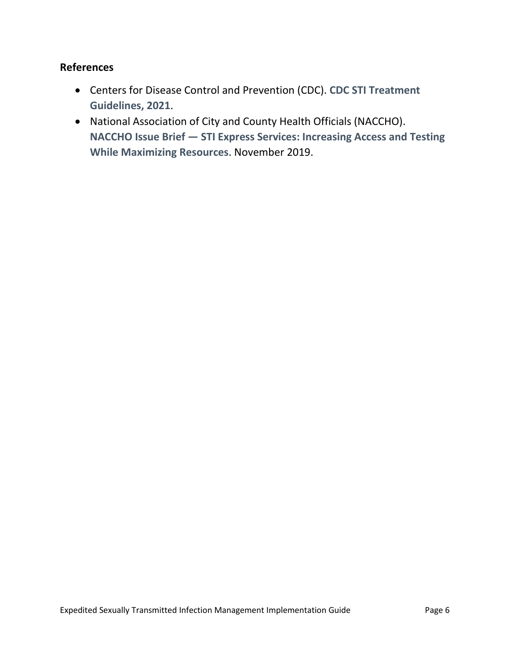#### **References**

- Centers for Disease Control and Prevention (CDC). **[CDC STI Treatment](https://texreg.sos.state.tx.us/public/readtac$ext.ViewTAC)  [Guidelines, 2021](https://texreg.sos.state.tx.us/public/readtac$ext.ViewTAC)**.
- National Association of City and County Health Officials (NACCHO). **NACCHO Issue Brief — [STI Express Services: Increasing Access and Testing](https://www.naccho.org/uploads/downloadable-resources/issue-brief_STI-Express-Services.pdf)  [While Maximizing Resources](https://www.naccho.org/uploads/downloadable-resources/issue-brief_STI-Express-Services.pdf)**. November 2019.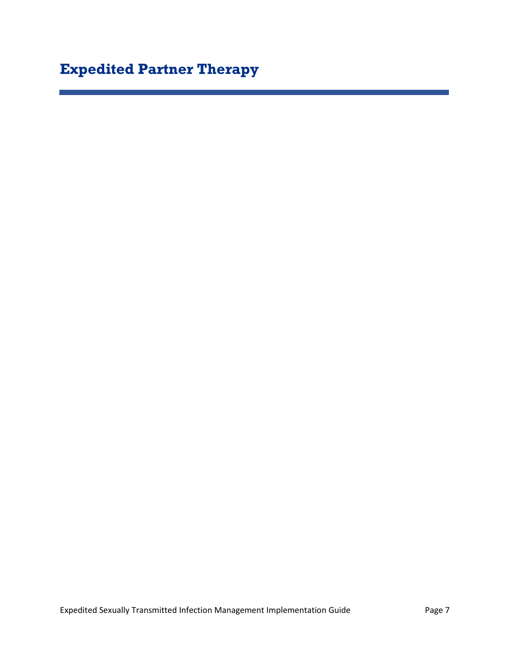# <span id="page-6-0"></span>**Expedited Partner Therapy**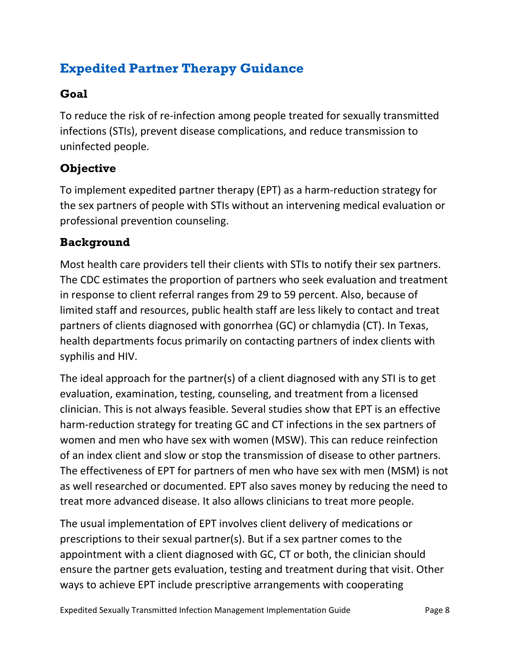# <span id="page-7-0"></span>**Expedited Partner Therapy Guidance**

#### **Goal**

To reduce the risk of re-infection among people treated for sexually transmitted infections (STIs), prevent disease complications, and reduce transmission to uninfected people.

### **Objective**

To implement expedited partner therapy (EPT) as a harm-reduction strategy for the sex partners of people with STIs without an intervening medical evaluation or professional prevention counseling.

#### **Background**

Most health care providers tell their clients with STIs to notify their sex partners. The CDC estimates the proportion of partners who seek evaluation and treatment in response to client referral ranges from 29 to 59 percent. Also, because of limited staff and resources, public health staff are less likely to contact and treat partners of clients diagnosed with gonorrhea (GC) or chlamydia (CT). In Texas, health departments focus primarily on contacting partners of index clients with syphilis and HIV.

The ideal approach for the partner(s) of a client diagnosed with any STI is to get evaluation, examination, testing, counseling, and treatment from a licensed clinician. This is not always feasible. Several studies show that EPT is an effective harm-reduction strategy for treating GC and CT infections in the sex partners of women and men who have sex with women (MSW). This can reduce reinfection of an index client and slow or stop the transmission of disease to other partners. The effectiveness of EPT for partners of men who have sex with men (MSM) is not as well researched or documented. EPT also saves money by reducing the need to treat more advanced disease. It also allows clinicians to treat more people.

The usual implementation of EPT involves client delivery of medications or prescriptions to their sexual partner(s). But if a sex partner comes to the appointment with a client diagnosed with GC, CT or both, the clinician should ensure the partner gets evaluation, testing and treatment during that visit. Other ways to achieve EPT include prescriptive arrangements with cooperating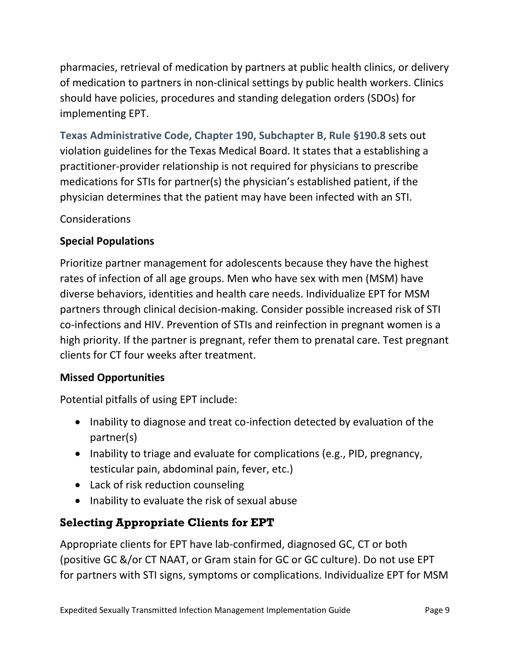pharmacies, retrieval of medication by partners at public health clinics, or delivery of medication to partners in non-clinical settings by public health workers. Clinics should have policies, procedures and standing delegation orders (SDOs) for implementing EPT.

**[Texas Administrative Code, Chapter 190, Subchapter B, Rule §190.8](https://texreg.sos.state.tx.us/public/readtac$ext.TacPage?sl=R&app=9&p_dir=&p_rloc=&p_tloc=&p_ploc=&pg=1&p_tac=&ti=22&pt=9&ch=190&rl=8)** sets out violation guidelines for the Texas Medical Board. It states that a establishing a practitioner-provider relationship is not required for physicians to prescribe medications for STIs for partner(s) the physician's established patient, if the physician determines that the patient may have been infected with an STI.

#### Considerations

#### **Special Populations**

Prioritize partner management for adolescents because they have the highest rates of infection of all age groups. Men who have sex with men (MSM) have diverse behaviors, identities and health care needs. Individualize EPT for MSM partners through clinical decision-making. Consider possible increased risk of STI co-infections and HIV. Prevention of STIs and reinfection in pregnant women is a high priority. If the partner is pregnant, refer them to prenatal care. Test pregnant clients for CT four weeks after treatment.

#### **Missed Opportunities**

Potential pitfalls of using EPT include:

- Inability to diagnose and treat co-infection detected by evaluation of the partner(s)
- Inability to triage and evaluate for complications (e.g., PID, pregnancy, testicular pain, abdominal pain, fever, etc.)
- Lack of risk reduction counseling
- Inability to evaluate the risk of sexual abuse

### **Selecting Appropriate Clients for EPT**

Appropriate clients for EPT have lab-confirmed, diagnosed GC, CT or both (positive GC &/or CT NAAT, or Gram stain for GC or GC culture). Do not use EPT for partners with STI signs, symptoms or complications. Individualize EPT for MSM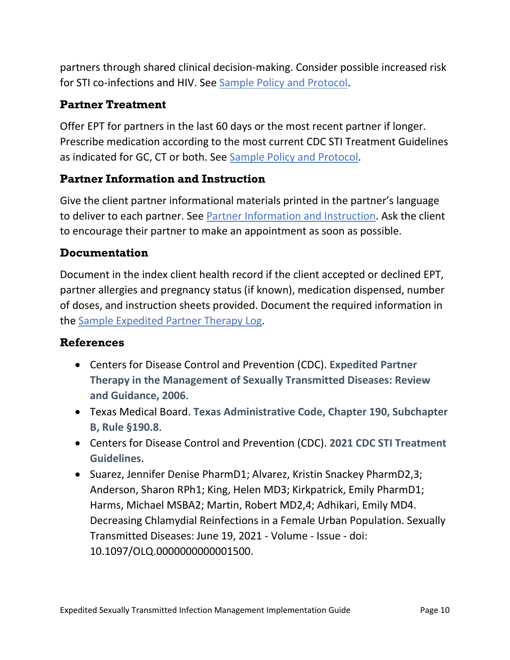partners through shared clinical decision-making. Consider possible increased risk for STI co-infections and HIV. See [Sample Policy and Protocol.](#page-10-0)

#### **Partner Treatment**

Offer EPT for partners in the last 60 days or the most recent partner if longer. Prescribe medication according to the most current CDC STI Treatment Guidelines as indicated for GC, CT or both. See [Sample Policy and Protocol.](#page-10-0)

#### <span id="page-9-0"></span>**Partner Information and Instruction**

Give the client partner informational materials printed in the partner's language to deliver to each partner. See [Partner Information and Instruction.](#page-9-0) Ask the client to encourage their partner to make an appointment as soon as possible.

#### **Documentation**

Document in the index client health record if the client accepted or declined EPT, partner allergies and pregnancy status (if known), medication dispensed, number of doses, and instruction sheets provided. Document the required information in the [Sample Expedited Partner Therapy Log.](#page-22-0)

#### **References**

- Centers for Disease Control and Prevention (CDC). **[Expedited Partner](https://www.cdc.gov/std/treatment-guidelines/clinical-EPT.htm)  [Therapy in the Management of Sexually Transmitted Diseases: Review](https://www.cdc.gov/std/treatment-guidelines/clinical-EPT.htm)  [and Guidance, 2006](https://www.cdc.gov/std/treatment-guidelines/clinical-EPT.htm)**.
- Texas Medical Board. **[Texas Administrative Code, Chapter 190, Subchapter](https://texreg.sos.state.tx.us/public/readtac$ext.TacPage?sl=R&app=9&p_dir=&p_rloc=&p_tloc=&p_ploc=&pg=1&p_tac=&ti=22&pt=9&ch=190&rl=8)  [B, Rule §190.8](https://texreg.sos.state.tx.us/public/readtac$ext.TacPage?sl=R&app=9&p_dir=&p_rloc=&p_tloc=&p_ploc=&pg=1&p_tac=&ti=22&pt=9&ch=190&rl=8)**.
- Centers for Disease Control and Prevention (CDC). **[2021 CDC STI Treatment](https://www.cdc.gov/std/treatment-guidelines/default.htm)  [Guidelines](https://www.cdc.gov/std/treatment-guidelines/default.htm)**.
- Suarez, Jennifer Denise PharmD1; Alvarez, Kristin Snackey PharmD2,3; Anderson, Sharon RPh1; King, Helen MD3; Kirkpatrick, Emily PharmD1; Harms, Michael MSBA2; Martin, Robert MD2,4; Adhikari, Emily MD4. Decreasing Chlamydial Reinfections in a Female Urban Population. Sexually Transmitted Diseases: June 19, 2021 - Volume - Issue - doi: 10.1097/OLQ.0000000000001500.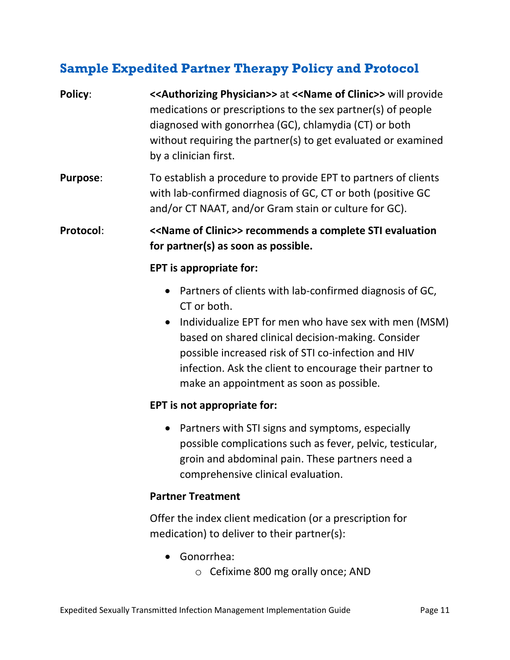# <span id="page-10-0"></span>**Sample Expedited Partner Therapy Policy and Protocol**

| Policy:          | <<<<<<<<>Authorizing Physician>> at<<<<<>>Name of Clinic>> will provide<br>medications or prescriptions to the sex partner(s) of people<br>diagnosed with gonorrhea (GC), chlamydia (CT) or both<br>without requiring the partner(s) to get evaluated or examined<br>by a clinician first.                                                                                    |  |  |
|------------------|-------------------------------------------------------------------------------------------------------------------------------------------------------------------------------------------------------------------------------------------------------------------------------------------------------------------------------------------------------------------------------|--|--|
| <b>Purpose:</b>  | To establish a procedure to provide EPT to partners of clients<br>with lab-confirmed diagnosis of GC, CT or both (positive GC<br>and/or CT NAAT, and/or Gram stain or culture for GC).                                                                                                                                                                                        |  |  |
| <b>Protocol:</b> | < <name clinic="" of="">&gt; recommends a complete STI evaluation<br/>for partner(s) as soon as possible.</name>                                                                                                                                                                                                                                                              |  |  |
|                  | <b>EPT</b> is appropriate for:                                                                                                                                                                                                                                                                                                                                                |  |  |
|                  | Partners of clients with lab-confirmed diagnosis of GC,<br>$\bullet$<br>CT or both.<br>Individualize EPT for men who have sex with men (MSM)<br>$\bullet$<br>based on shared clinical decision-making. Consider<br>possible increased risk of STI co-infection and HIV<br>infection. Ask the client to encourage their partner to<br>make an appointment as soon as possible. |  |  |
|                  | EPT is not appropriate for:                                                                                                                                                                                                                                                                                                                                                   |  |  |
|                  | Partners with STI signs and symptoms, especially<br>$\bullet$<br>possible complications such as fever, pelvic, testicular,<br>groin and abdominal pain. These partners need a<br>comprehensive clinical evaluation.                                                                                                                                                           |  |  |
|                  | <b>Partner Treatment</b>                                                                                                                                                                                                                                                                                                                                                      |  |  |
|                  | Offer the index client medication (or a prescription for<br>medication) to deliver to their partner(s):                                                                                                                                                                                                                                                                       |  |  |

- Gonorrhea:
	- o Cefixime 800 mg orally once; AND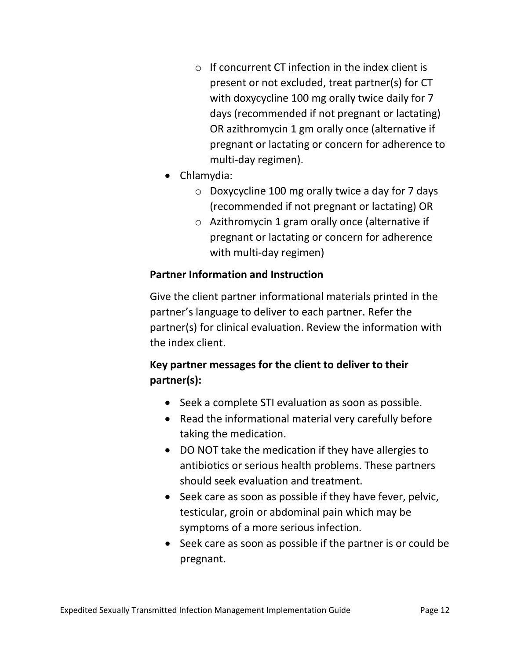- $\circ$  If concurrent CT infection in the index client is present or not excluded, treat partner(s) for CT with doxycycline 100 mg orally twice daily for 7 days (recommended if not pregnant or lactating) OR azithromycin 1 gm orally once (alternative if pregnant or lactating or concern for adherence to multi-day regimen).
- Chlamydia:
	- $\circ$  Doxycycline 100 mg orally twice a day for 7 days (recommended if not pregnant or lactating) OR
	- o Azithromycin 1 gram orally once (alternative if pregnant or lactating or concern for adherence with multi-day regimen)

#### **Partner Information and Instruction**

Give the client partner informational materials printed in the partner's language to deliver to each partner. Refer the partner(s) for clinical evaluation. Review the information with the index client.

### **Key partner messages for the client to deliver to their partner(s):**

- Seek a complete STI evaluation as soon as possible.
- Read the informational material very carefully before taking the medication.
- DO NOT take the medication if they have allergies to antibiotics or serious health problems. These partners should seek evaluation and treatment.
- Seek care as soon as possible if they have fever, pelvic, testicular, groin or abdominal pain which may be symptoms of a more serious infection.
- Seek care as soon as possible if the partner is or could be pregnant.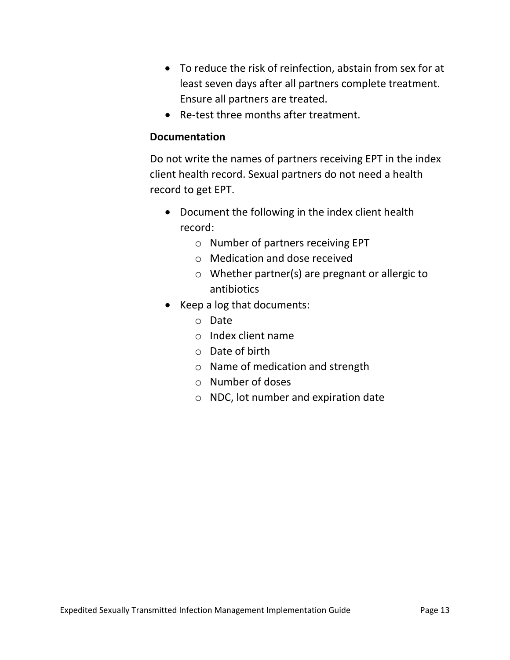- To reduce the risk of reinfection, abstain from sex for at least seven days after all partners complete treatment. Ensure all partners are treated.
- Re-test three months after treatment.

#### **Documentation**

Do not write the names of partners receiving EPT in the index client health record. Sexual partners do not need a health record to get EPT.

- Document the following in the index client health record:
	- o Number of partners receiving EPT
	- o Medication and dose received
	- o Whether partner(s) are pregnant or allergic to antibiotics
- Keep a log that documents:
	- o Date
	- o Index client name
	- o Date of birth
	- o Name of medication and strength
	- o Number of doses
	- o NDC, lot number and expiration date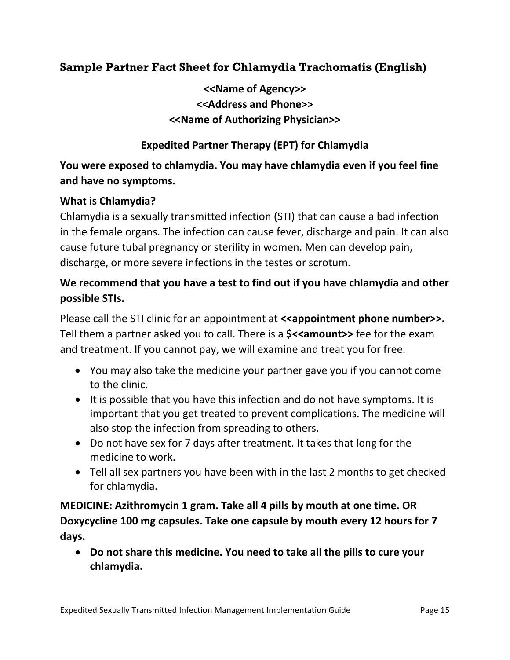#### **Sample Partner Fact Sheet for Chlamydia Trachomatis (English)**

**<<Name of Agency>> <<Address and Phone>> <<Name of Authorizing Physician>>**

#### **Expedited Partner Therapy (EPT) for Chlamydia**

#### **You were exposed to chlamydia. You may have chlamydia even if you feel fine and have no symptoms.**

#### **What is Chlamydia?**

Chlamydia is a sexually transmitted infection (STI) that can cause a bad infection in the female organs. The infection can cause fever, discharge and pain. It can also cause future tubal pregnancy or sterility in women. Men can develop pain, discharge, or more severe infections in the testes or scrotum.

#### **We recommend that you have a test to find out if you have chlamydia and other possible STIs.**

Please call the STI clinic for an appointment at **<<appointment phone number>>.** Tell them a partner asked you to call. There is a **\$<<amount>>** fee for the exam and treatment. If you cannot pay, we will examine and treat you for free.

- You may also take the medicine your partner gave you if you cannot come to the clinic.
- It is possible that you have this infection and do not have symptoms. It is important that you get treated to prevent complications. The medicine will also stop the infection from spreading to others.
- Do not have sex for 7 days after treatment. It takes that long for the medicine to work.
- Tell all sex partners you have been with in the last 2 months to get checked for chlamydia.

**MEDICINE: Azithromycin 1 gram. Take all 4 pills by mouth at one time. OR Doxycycline 100 mg capsules. Take one capsule by mouth every 12 hours for 7 days.**

• **Do not share this medicine. You need to take all the pills to cure your chlamydia.**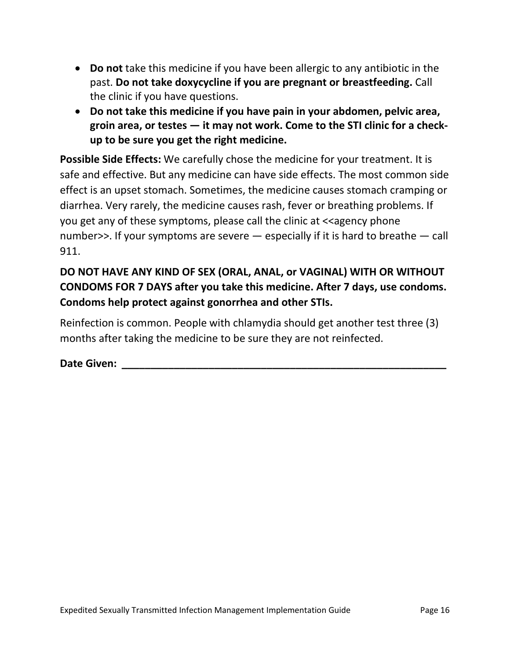- **Do not** take this medicine if you have been allergic to any antibiotic in the past. **Do not take doxycycline if you are pregnant or breastfeeding.** Call the clinic if you have questions.
- **Do not take this medicine if you have pain in your abdomen, pelvic area, groin area, or testes — it may not work. Come to the STI clinic for a checkup to be sure you get the right medicine.**

**Possible Side Effects:** We carefully chose the medicine for your treatment. It is safe and effective. But any medicine can have side effects. The most common side effect is an upset stomach. Sometimes, the medicine causes stomach cramping or diarrhea. Very rarely, the medicine causes rash, fever or breathing problems. If you get any of these symptoms, please call the clinic at  $\prec$  agency phone number>>. If your symptoms are severe — especially if it is hard to breathe — call 911.

### **DO NOT HAVE ANY KIND OF SEX (ORAL, ANAL, or VAGINAL) WITH OR WITHOUT CONDOMS FOR 7 DAYS after you take this medicine. After 7 days, use condoms. Condoms help protect against gonorrhea and other STIs.**

Reinfection is common. People with chlamydia should get another test three (3) months after taking the medicine to be sure they are not reinfected.

**Date Given: with a set of the set of the set of the set of the set of the set of the set of the set of the set of the set of the set of the set of the set of the set of the set of the set of the set of the set of the se**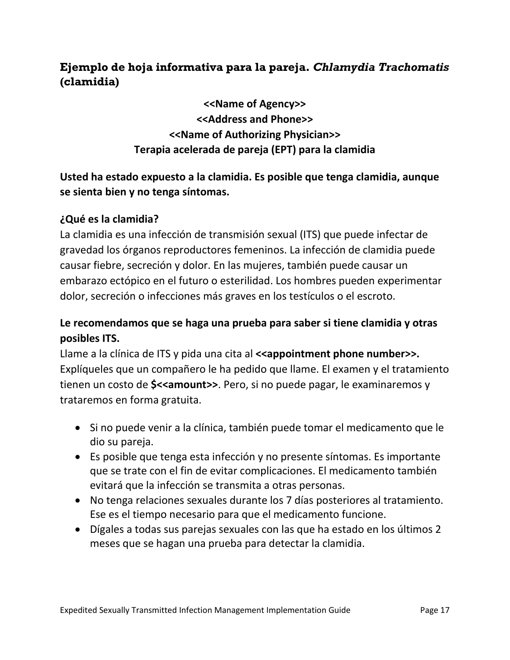#### **Ejemplo de hoja informativa para la pareja.** *Chlamydia Trachomatis* **(clamidia)**

**<<Name of Agency>> <<Address and Phone>> <<Name of Authorizing Physician>> Terapia acelerada de pareja (EPT) para la clamidia**

#### **Usted ha estado expuesto a la clamidia. Es posible que tenga clamidia, aunque se sienta bien y no tenga síntomas.**

#### **¿Qué es la clamidia?**

La clamidia es una infección de transmisión sexual (ITS) que puede infectar de gravedad los órganos reproductores femeninos. La infección de clamidia puede causar fiebre, secreción y dolor. En las mujeres, también puede causar un embarazo ectópico en el futuro o esterilidad. Los hombres pueden experimentar dolor, secreción o infecciones más graves en los testículos o el escroto.

#### **Le recomendamos que se haga una prueba para saber si tiene clamidia y otras posibles ITS.**

Llame a la clínica de ITS y pida una cita al **<<appointment phone number>>.** Explíqueles que un compañero le ha pedido que llame. El examen y el tratamiento tienen un costo de **\$<<amount>>**. Pero, si no puede pagar, le examinaremos y trataremos en forma gratuita.

- Si no puede venir a la clínica, también puede tomar el medicamento que le dio su pareja.
- Es posible que tenga esta infección y no presente síntomas. Es importante que se trate con el fin de evitar complicaciones. El medicamento también evitará que la infección se transmita a otras personas.
- No tenga relaciones sexuales durante los 7 días posteriores al tratamiento. Ese es el tiempo necesario para que el medicamento funcione.
- Dígales a todas sus parejas sexuales con las que ha estado en los últimos 2 meses que se hagan una prueba para detectar la clamidia.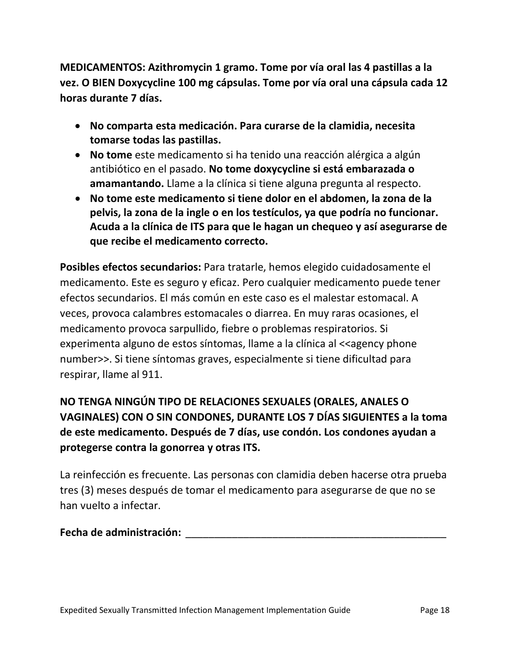**MEDICAMENTOS: Azithromycin 1 gramo. Tome por vía oral las 4 pastillas a la vez. O BIEN Doxycycline 100 mg cápsulas. Tome por vía oral una cápsula cada 12 horas durante 7 días.** 

- **No comparta esta medicación. Para curarse de la clamidia, necesita tomarse todas las pastillas.**
- **No tome** este medicamento si ha tenido una reacción alérgica a algún antibiótico en el pasado. **No tome doxycycline si está embarazada o amamantando.** Llame a la clínica si tiene alguna pregunta al respecto.
- **No tome este medicamento si tiene dolor en el abdomen, la zona de la pelvis, la zona de la ingle o en los testículos, ya que podría no funcionar. Acuda a la clínica de ITS para que le hagan un chequeo y así asegurarse de que recibe el medicamento correcto.**

**Posibles efectos secundarios:** Para tratarle, hemos elegido cuidadosamente el medicamento. Este es seguro y eficaz. Pero cualquier medicamento puede tener efectos secundarios. El más común en este caso es el malestar estomacal. A veces, provoca calambres estomacales o diarrea. En muy raras ocasiones, el medicamento provoca sarpullido, fiebre o problemas respiratorios. Si experimenta alguno de estos síntomas, llame a la clínica al <<agency phone number>>. Si tiene síntomas graves, especialmente si tiene dificultad para respirar, llame al 911.

### **NO TENGA NINGÚN TIPO DE RELACIONES SEXUALES (ORALES, ANALES O VAGINALES) CON O SIN CONDONES, DURANTE LOS 7 DÍAS SIGUIENTES a la toma de este medicamento. Después de 7 días, use condón. Los condones ayudan a protegerse contra la gonorrea y otras ITS.**

La reinfección es frecuente. Las personas con clamidia deben hacerse otra prueba tres (3) meses después de tomar el medicamento para asegurarse de que no se han vuelto a infectar.

#### **Fecha de administración:** \_\_\_\_\_\_\_\_\_\_\_\_\_\_\_\_\_\_\_\_\_\_\_\_\_\_\_\_\_\_\_\_\_\_\_\_\_\_\_\_\_\_\_\_\_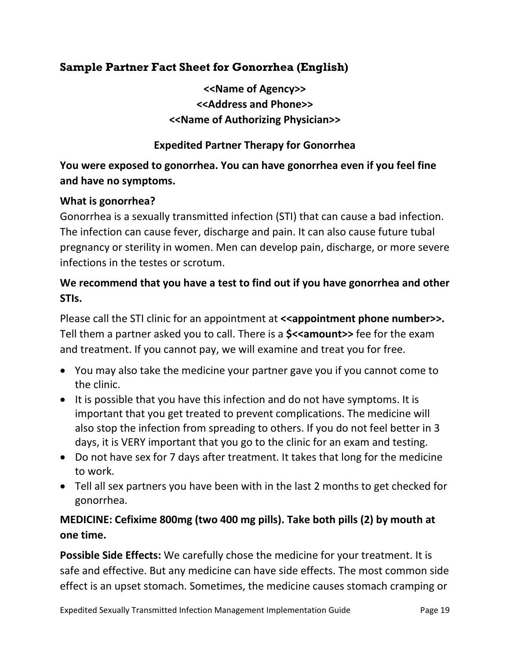#### **Sample Partner Fact Sheet for Gonorrhea (English)**

**<<Name of Agency>> <<Address and Phone>> <<Name of Authorizing Physician>>**

#### **Expedited Partner Therapy for Gonorrhea**

#### **You were exposed to gonorrhea. You can have gonorrhea even if you feel fine and have no symptoms.**

#### **What is gonorrhea?**

Gonorrhea is a sexually transmitted infection (STI) that can cause a bad infection. The infection can cause fever, discharge and pain. It can also cause future tubal pregnancy or sterility in women. Men can develop pain, discharge, or more severe infections in the testes or scrotum.

#### **We recommend that you have a test to find out if you have gonorrhea and other STIs.**

Please call the STI clinic for an appointment at **<<appointment phone number>>.** Tell them a partner asked you to call. There is a **\$<<amount>>** fee for the exam and treatment. If you cannot pay, we will examine and treat you for free.

- You may also take the medicine your partner gave you if you cannot come to the clinic.
- It is possible that you have this infection and do not have symptoms. It is important that you get treated to prevent complications. The medicine will also stop the infection from spreading to others. If you do not feel better in 3 days, it is VERY important that you go to the clinic for an exam and testing.
- Do not have sex for 7 days after treatment. It takes that long for the medicine to work.
- Tell all sex partners you have been with in the last 2 months to get checked for gonorrhea.

#### **MEDICINE: Cefixime 800mg (two 400 mg pills). Take both pills (2) by mouth at one time.**

**Possible Side Effects:** We carefully chose the medicine for your treatment. It is safe and effective. But any medicine can have side effects. The most common side effect is an upset stomach. Sometimes, the medicine causes stomach cramping or

Expedited Sexually Transmitted Infection Management Implementation Guide Page 19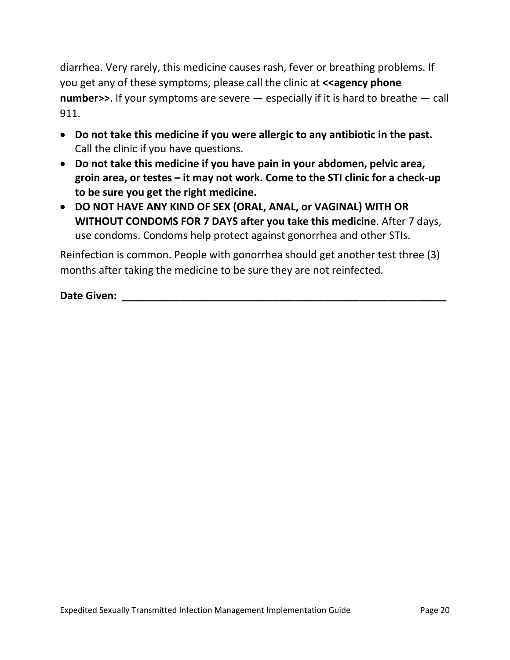diarrhea. Very rarely, this medicine causes rash, fever or breathing problems. If you get any of these symptoms, please call the clinic at **<<agency phone number>>**. If your symptoms are severe — especially if it is hard to breathe — call 911.

- **Do not take this medicine if you were allergic to any antibiotic in the past.** Call the clinic if you have questions.
- **Do not take this medicine if you have pain in your abdomen, pelvic area, groin area, or testes – it may not work. Come to the STI clinic for a check-up to be sure you get the right medicine.**
- **DO NOT HAVE ANY KIND OF SEX (ORAL, ANAL, or VAGINAL) WITH OR WITHOUT CONDOMS FOR 7 DAYS after you take this medicine**. After 7 days, use condoms. Condoms help protect against gonorrhea and other STIs.

Reinfection is common. People with gonorrhea should get another test three (3) months after taking the medicine to be sure they are not reinfected.

**Date Given: Date Similarly and**  $\mathbf{C}$  **and**  $\mathbf{C}$  **and**  $\mathbf{C}$  **and**  $\mathbf{C}$  **and**  $\mathbf{C}$  **and**  $\mathbf{C}$  **and**  $\mathbf{C}$  **and**  $\mathbf{C}$  **and**  $\mathbf{C}$  **and**  $\mathbf{C}$  **and**  $\mathbf{C}$  **and**  $\mathbf{C}$  **and**  $\mathbf{C}$  **and**  $\mathbf{C}$  **and \mathbf{C**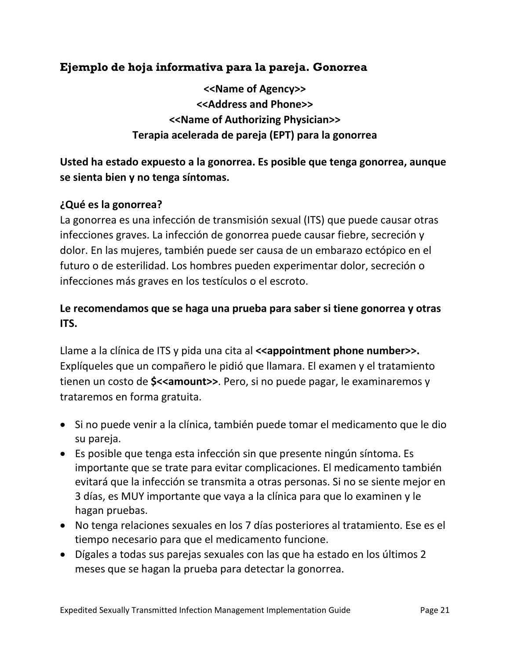#### **Ejemplo de hoja informativa para la pareja. Gonorrea**

**<<Name of Agency>> <<Address and Phone>> <<Name of Authorizing Physician>> Terapia acelerada de pareja (EPT) para la gonorrea**

**Usted ha estado expuesto a la gonorrea. Es posible que tenga gonorrea, aunque se sienta bien y no tenga síntomas.**

#### **¿Qué es la gonorrea?**

La gonorrea es una infección de transmisión sexual (ITS) que puede causar otras infecciones graves. La infección de gonorrea puede causar fiebre, secreción y dolor. En las mujeres, también puede ser causa de un embarazo ectópico en el futuro o de esterilidad. Los hombres pueden experimentar dolor, secreción o infecciones más graves en los testículos o el escroto.

#### **Le recomendamos que se haga una prueba para saber si tiene gonorrea y otras ITS.**

Llame a la clínica de ITS y pida una cita al **<<appointment phone number>>.** Explíqueles que un compañero le pidió que llamara. El examen y el tratamiento tienen un costo de **\$<<amount>>**. Pero, si no puede pagar, le examinaremos y trataremos en forma gratuita.

- Si no puede venir a la clínica, también puede tomar el medicamento que le dio su pareja.
- Es posible que tenga esta infección sin que presente ningún síntoma. Es importante que se trate para evitar complicaciones. El medicamento también evitará que la infección se transmita a otras personas. Si no se siente mejor en 3 días, es MUY importante que vaya a la clínica para que lo examinen y le hagan pruebas.
- No tenga relaciones sexuales en los 7 días posteriores al tratamiento. Ese es el tiempo necesario para que el medicamento funcione.
- Dígales a todas sus parejas sexuales con las que ha estado en los últimos 2 meses que se hagan la prueba para detectar la gonorrea.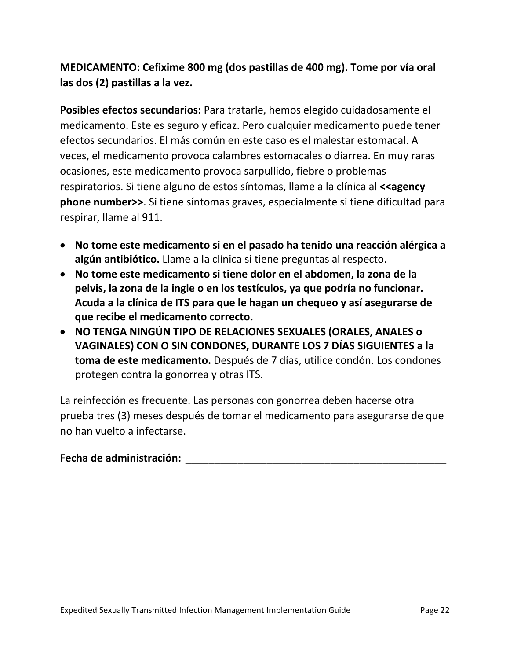**MEDICAMENTO: Cefixime 800 mg (dos pastillas de 400 mg). Tome por vía oral las dos (2) pastillas a la vez.**

**Posibles efectos secundarios:** Para tratarle, hemos elegido cuidadosamente el medicamento. Este es seguro y eficaz. Pero cualquier medicamento puede tener efectos secundarios. El más común en este caso es el malestar estomacal. A veces, el medicamento provoca calambres estomacales o diarrea. En muy raras ocasiones, este medicamento provoca sarpullido, fiebre o problemas respiratorios. Si tiene alguno de estos síntomas, llame a la clínica al **<<agency phone number>>**. Si tiene síntomas graves, especialmente si tiene dificultad para respirar, llame al 911.

- **No tome este medicamento si en el pasado ha tenido una reacción alérgica a algún antibiótico.** Llame a la clínica si tiene preguntas al respecto.
- **No tome este medicamento si tiene dolor en el abdomen, la zona de la pelvis, la zona de la ingle o en los testículos, ya que podría no funcionar. Acuda a la clínica de ITS para que le hagan un chequeo y así asegurarse de que recibe el medicamento correcto.**
- **NO TENGA NINGÚN TIPO DE RELACIONES SEXUALES (ORALES, ANALES o VAGINALES) CON O SIN CONDONES, DURANTE LOS 7 DÍAS SIGUIENTES a la toma de este medicamento.** Después de 7 días, utilice condón. Los condones protegen contra la gonorrea y otras ITS.

La reinfección es frecuente. Las personas con gonorrea deben hacerse otra prueba tres (3) meses después de tomar el medicamento para asegurarse de que no han vuelto a infectarse.

#### **Fecha de administración:** \_\_\_\_\_\_\_\_\_\_\_\_\_\_\_\_\_\_\_\_\_\_\_\_\_\_\_\_\_\_\_\_\_\_\_\_\_\_\_\_\_\_\_\_\_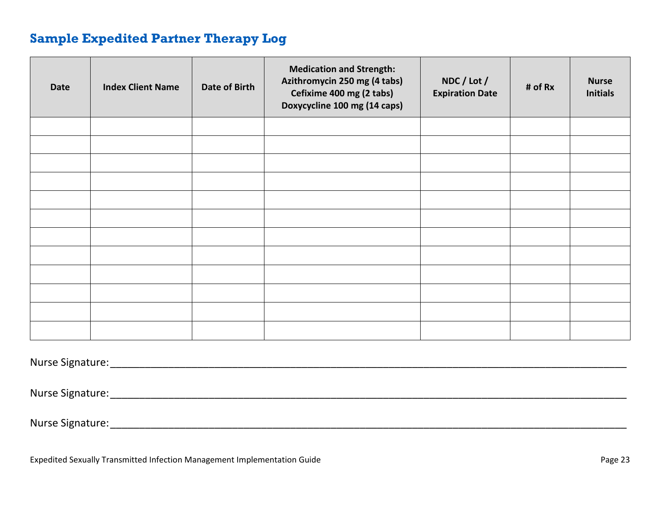### **Sample Expedited Partner Therapy Log**

<span id="page-22-0"></span>

| <b>Date</b> | <b>Index Client Name</b> | Date of Birth | <b>Medication and Strength:</b><br>Azithromycin 250 mg (4 tabs)<br>Cefixime 400 mg (2 tabs)<br>Doxycycline 100 mg (14 caps) | NDC / Lot /<br><b>Expiration Date</b> | # of Rx | <b>Nurse</b><br><b>Initials</b> |
|-------------|--------------------------|---------------|-----------------------------------------------------------------------------------------------------------------------------|---------------------------------------|---------|---------------------------------|
|             |                          |               |                                                                                                                             |                                       |         |                                 |
|             |                          |               |                                                                                                                             |                                       |         |                                 |
|             |                          |               |                                                                                                                             |                                       |         |                                 |
|             |                          |               |                                                                                                                             |                                       |         |                                 |
|             |                          |               |                                                                                                                             |                                       |         |                                 |
|             |                          |               |                                                                                                                             |                                       |         |                                 |
|             |                          |               |                                                                                                                             |                                       |         |                                 |
|             |                          |               |                                                                                                                             |                                       |         |                                 |
|             |                          |               |                                                                                                                             |                                       |         |                                 |
|             |                          |               |                                                                                                                             |                                       |         |                                 |
|             |                          |               |                                                                                                                             |                                       |         |                                 |
|             |                          |               |                                                                                                                             |                                       |         |                                 |

Nurse Signature:\_\_\_\_\_\_\_\_\_\_\_\_\_\_\_\_\_\_\_\_\_\_\_\_\_\_\_\_\_\_\_\_\_\_\_\_\_\_\_\_\_\_\_\_\_\_\_\_\_\_\_\_\_\_\_\_\_\_\_\_\_\_\_\_\_\_\_\_\_\_\_\_\_\_\_\_\_\_\_\_\_\_\_\_\_\_\_\_\_

Nurse Signature:\_\_\_\_\_\_\_\_\_\_\_\_\_\_\_\_\_\_\_\_\_\_\_\_\_\_\_\_\_\_\_\_\_\_\_\_\_\_\_\_\_\_\_\_\_\_\_\_\_\_\_\_\_\_\_\_\_\_\_\_\_\_\_\_\_\_\_\_\_\_\_\_\_\_\_\_\_\_\_\_\_\_\_\_\_\_\_\_\_

Nurse Signature:\_\_\_\_\_\_\_\_\_\_\_\_\_\_\_\_\_\_\_\_\_\_\_\_\_\_\_\_\_\_\_\_\_\_\_\_\_\_\_\_\_\_\_\_\_\_\_\_\_\_\_\_\_\_\_\_\_\_\_\_\_\_\_\_\_\_\_\_\_\_\_\_\_\_\_\_\_\_\_\_\_\_\_\_\_\_\_\_\_

Expedited Sexually Transmitted Infection Management Implementation Guide **Page 23** Page 23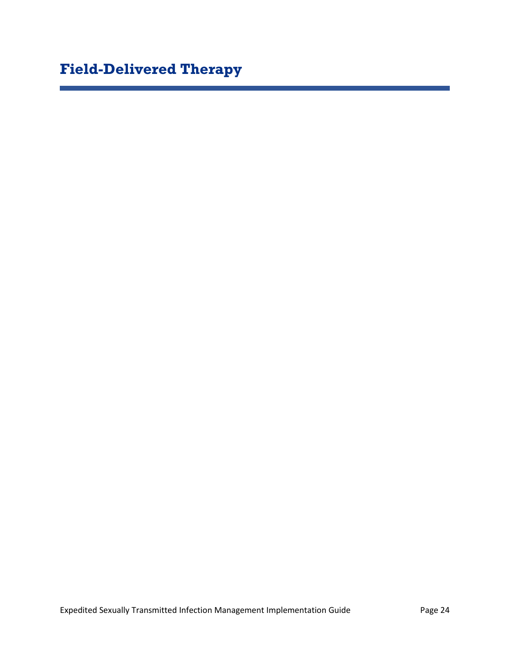# <span id="page-23-0"></span>**Field-Delivered Therapy**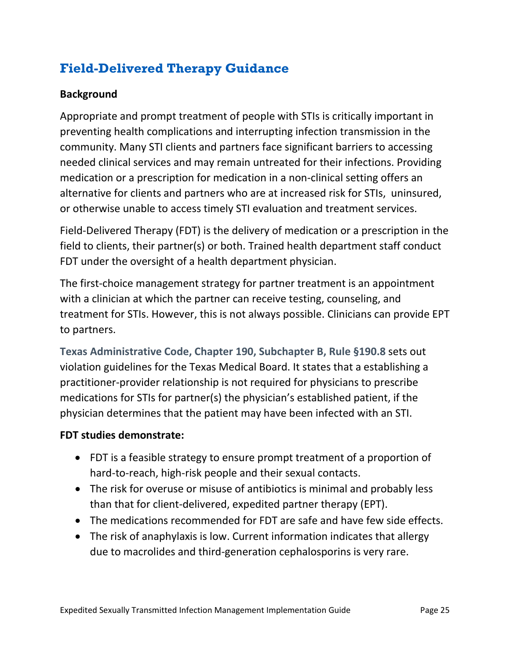# <span id="page-24-0"></span>**Field-Delivered Therapy Guidance**

#### **Background**

Appropriate and prompt treatment of people with STIs is critically important in preventing health complications and interrupting infection transmission in the community. Many STI clients and partners face significant barriers to accessing needed clinical services and may remain untreated for their infections. Providing medication or a prescription for medication in a non-clinical setting offers an alternative for clients and partners who are at increased risk for STIs, uninsured, or otherwise unable to access timely STI evaluation and treatment services.

Field-Delivered Therapy (FDT) is the delivery of medication or a prescription in the field to clients, their partner(s) or both. Trained health department staff conduct FDT under the oversight of a health department physician.

The first-choice management strategy for partner treatment is an appointment with a clinician at which the partner can receive testing, counseling, and treatment for STIs. However, this is not always possible. Clinicians can provide EPT to partners.

**[Texas Administrative Code, Chapter 190, Subchapter B, Rule §190.8](https://texreg.sos.state.tx.us/public/readtac$ext.TacPage?sl=R&app=9&p_dir=&p_rloc=&p_tloc=&p_ploc=&pg=1&p_tac=&ti=22&pt=9&ch=190&rl=8)** sets out violation guidelines for the Texas Medical Board. It states that a establishing a practitioner-provider relationship is not required for physicians to prescribe medications for STIs for partner(s) the physician's established patient, if the physician determines that the patient may have been infected with an STI.

#### **FDT studies demonstrate:**

- FDT is a feasible strategy to ensure prompt treatment of a proportion of hard-to-reach, high-risk people and their sexual contacts.
- The risk for overuse or misuse of antibiotics is minimal and probably less than that for client-delivered, expedited partner therapy (EPT).
- The medications recommended for FDT are safe and have few side effects.
- The risk of anaphylaxis is low. Current information indicates that allergy due to macrolides and third-generation cephalosporins is very rare.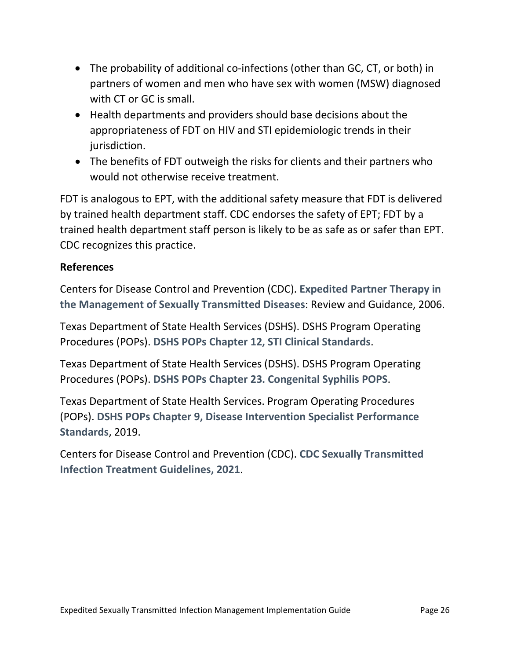- The probability of additional co-infections (other than GC, CT, or both) in partners of women and men who have sex with women (MSW) diagnosed with CT or GC is small.
- Health departments and providers should base decisions about the appropriateness of FDT on HIV and STI epidemiologic trends in their jurisdiction.
- The benefits of FDT outweigh the risks for clients and their partners who would not otherwise receive treatment.

FDT is analogous to EPT, with the additional safety measure that FDT is delivered by trained health department staff. CDC endorses the safety of EPT; FDT by a trained health department staff person is likely to be as safe as or safer than EPT. CDC recognizes this practice.

#### **References**

Centers for Disease Control and Prevention (CDC). **[Expedited Partner Therapy in](https://www.cdc.gov/std/ept/default.htm)  [the Management of Sexually Transmitted Diseases](https://www.cdc.gov/std/ept/default.htm)**: Review and Guidance, 2006.

Texas Department of State Health Services (DSHS). DSHS Program Operating Procedures (POPs). **[DSHS POPs Chapter 12, STI Clinical Standards](https://www.dshs.texas.gov/hivstd/pops/chap12.shtm)**.

Texas Department of State Health Services (DSHS). DSHS Program Operating Procedures (POPs). **[DSHS POPs Chapter 23. Congenital Syphilis POPS](https://www.dshs.texas.gov/hivstd/pops/chap23.shtm)**.

Texas Department of State Health Services. Program Operating Procedures (POPs). **[DSHS POPs Chapter 9, Disease Intervention Specialist Performance](https://www.dshs.texas.gov/hivstd/pops/chap09.shtm)  [Standards](https://www.dshs.texas.gov/hivstd/pops/chap09.shtm)**, 2019.

Centers for Disease Control and Prevention (CDC). **[CDC Sexually Transmitted](https://www.cdc.gov/std/treatment-guidelines/default.htm)  Infection [Treatment Guidelines, 2021](https://www.cdc.gov/std/treatment-guidelines/default.htm)**.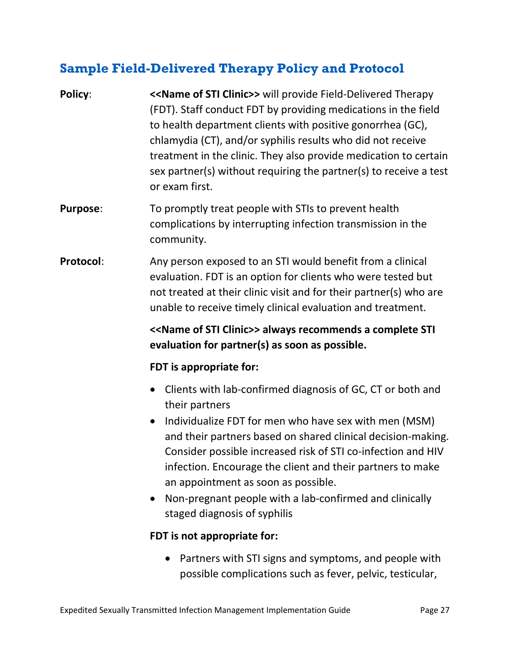### <span id="page-26-0"></span>**Sample Field-Delivered Therapy Policy and Protocol**

- **Policy:** << **Name of STI Clinic>>** will provide Field-Delivered Therapy (FDT). Staff conduct FDT by providing medications in the field to health department clients with positive gonorrhea (GC), chlamydia (CT), and/or syphilis results who did not receive treatment in the clinic. They also provide medication to certain sex partner(s) without requiring the partner(s) to receive a test or exam first.
- **Purpose:** To promptly treat people with STIs to prevent health complications by interrupting infection transmission in the community.
- **Protocol:** Any person exposed to an STI would benefit from a clinical evaluation. FDT is an option for clients who were tested but not treated at their clinic visit and for their partner(s) who are unable to receive timely clinical evaluation and treatment.

**<<Name of STI Clinic>> always recommends a complete STI evaluation for partner(s) as soon as possible.**

#### **FDT is appropriate for:**

- Clients with lab-confirmed diagnosis of GC, CT or both and their partners
- Individualize FDT for men who have sex with men (MSM) and their partners based on shared clinical decision-making. Consider possible increased risk of STI co-infection and HIV infection. Encourage the client and their partners to make an appointment as soon as possible.
- Non-pregnant people with a lab-confirmed and clinically staged diagnosis of syphilis

#### **FDT is not appropriate for:**

• Partners with STI signs and symptoms, and people with possible complications such as fever, pelvic, testicular,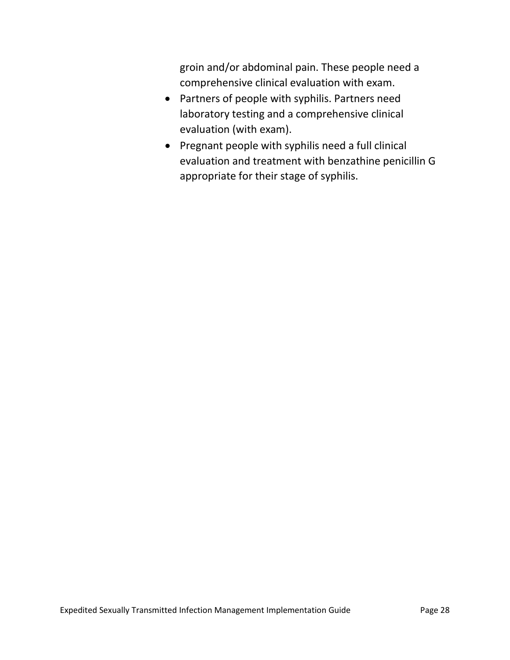groin and/or abdominal pain. These people need a comprehensive clinical evaluation with exam.

- Partners of people with syphilis. Partners need laboratory testing and a comprehensive clinical evaluation (with exam).
- Pregnant people with syphilis need a full clinical evaluation and treatment with benzathine penicillin G appropriate for their stage of syphilis.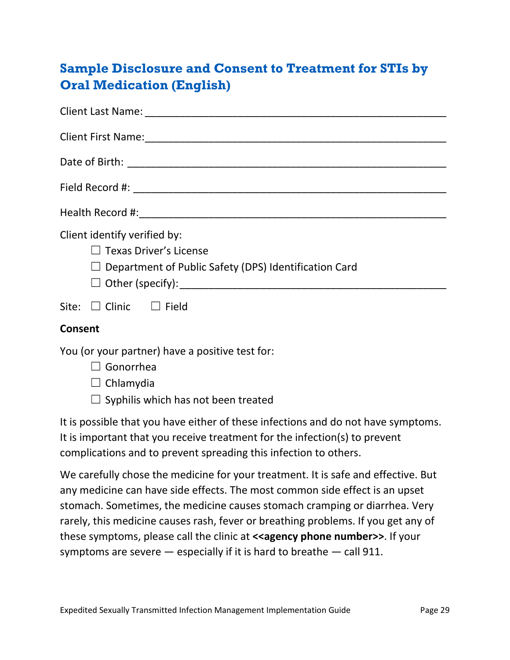# <span id="page-28-0"></span>**Sample Disclosure and Consent to Treatment for STIs by Oral Medication (English)**

| Client identify verified by:<br>$\Box$ Texas Driver's License<br>$\Box$ Department of Public Safety (DPS) Identification Card |
|-------------------------------------------------------------------------------------------------------------------------------|
| Site: $\Box$ Clinic $\Box$ Field                                                                                              |
| <b>Consent</b>                                                                                                                |
| You (or your partner) have a positive test for:<br>$\Box$ Gonorrhea<br>$\Box$ Chlamydia                                       |

 $\Box$  Syphilis which has not been treated

It is possible that you have either of these infections and do not have symptoms. It is important that you receive treatment for the infection(s) to prevent complications and to prevent spreading this infection to others.

We carefully chose the medicine for your treatment. It is safe and effective. But any medicine can have side effects. The most common side effect is an upset stomach. Sometimes, the medicine causes stomach cramping or diarrhea. Very rarely, this medicine causes rash, fever or breathing problems. If you get any of these symptoms, please call the clinic at **<<agency phone number>>**. If your symptoms are severe  $-$  especially if it is hard to breathe  $-$  call 911.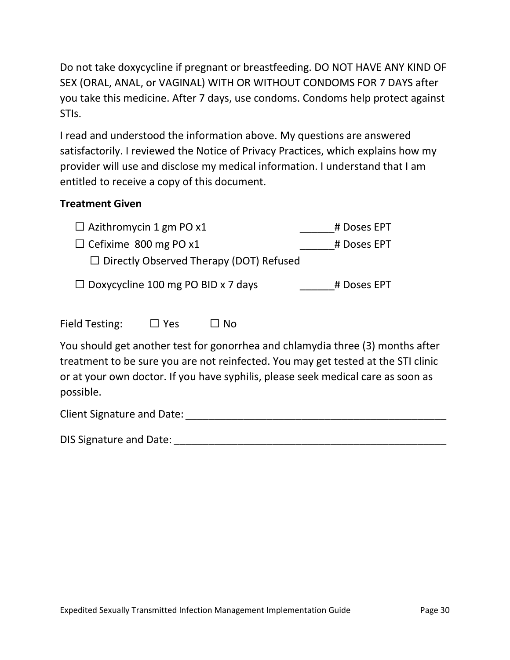Do not take doxycycline if pregnant or breastfeeding. DO NOT HAVE ANY KIND OF SEX (ORAL, ANAL, or VAGINAL) WITH OR WITHOUT CONDOMS FOR 7 DAYS after you take this medicine. After 7 days, use condoms. Condoms help protect against STIs.

I read and understood the information above. My questions are answered satisfactorily. I reviewed the Notice of Privacy Practices, which explains how my provider will use and disclose my medical information. I understand that I am entitled to receive a copy of this document.

#### **Treatment Given**

| $\Box$ Azithromycin 1 gm PO x1 |     |                                                | # Doses EPT |
|--------------------------------|-----|------------------------------------------------|-------------|
| $\Box$ Cefixime 800 mg PO x1   |     |                                                | # Doses EPT |
|                                |     | $\Box$ Directly Observed Therapy (DOT) Refused |             |
|                                |     | $\Box$ Doxycycline 100 mg PO BID x 7 days      | # Doses EPT |
| Field Testing:                 | Yes |                                                |             |

You should get another test for gonorrhea and chlamydia three (3) months after treatment to be sure you are not reinfected. You may get tested at the STI clinic or at your own doctor. If you have syphilis, please seek medical care as soon as possible.

Client Signature and Date: \_\_\_\_\_\_\_\_\_\_\_\_\_\_\_\_\_\_\_\_\_\_\_\_\_\_\_\_\_\_\_\_\_\_\_\_\_\_\_\_\_\_\_\_\_

DIS Signature and Date: \_\_\_\_\_\_\_\_\_\_\_\_\_\_\_\_\_\_\_\_\_\_\_\_\_\_\_\_\_\_\_\_\_\_\_\_\_\_\_\_\_\_\_\_\_\_\_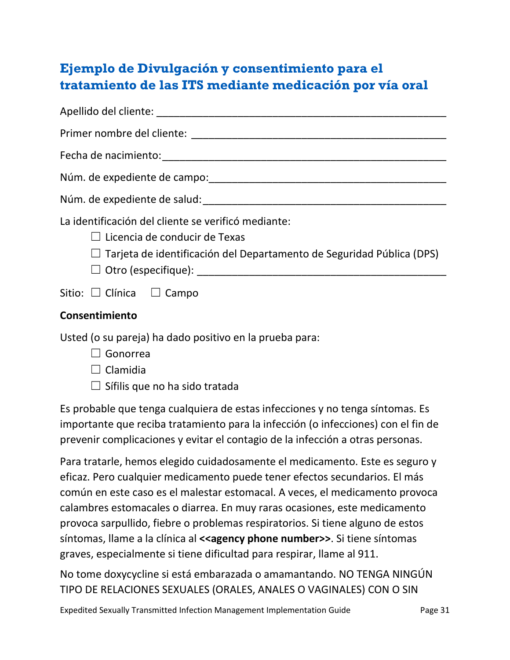# <span id="page-30-0"></span>**Ejemplo de Divulgación y consentimiento para el tratamiento de las ITS mediante medicación por vía oral**

| La identificación del cliente se verificó mediante:<br>$\Box$ Licencia de conducir de Texas<br>$\Box$ Tarjeta de identificación del Departamento de Seguridad Pública (DPS) |
|-----------------------------------------------------------------------------------------------------------------------------------------------------------------------------|
| Sitio: $\Box$ Clínica $\Box$ Campo                                                                                                                                          |
| Consentimiento                                                                                                                                                              |
| Usted (o su pareja) ha dado positivo en la prueba para:                                                                                                                     |

- ☐ Gonorrea
- $\Box$  Clamidia
- $\Box$  Sífilis que no ha sido tratada

Es probable que tenga cualquiera de estas infecciones y no tenga síntomas. Es importante que reciba tratamiento para la infección (o infecciones) con el fin de prevenir complicaciones y evitar el contagio de la infección a otras personas.

Para tratarle, hemos elegido cuidadosamente el medicamento. Este es seguro y eficaz. Pero cualquier medicamento puede tener efectos secundarios. El más común en este caso es el malestar estomacal. A veces, el medicamento provoca calambres estomacales o diarrea. En muy raras ocasiones, este medicamento provoca sarpullido, fiebre o problemas respiratorios. Si tiene alguno de estos síntomas, llame a la clínica al **<<agency phone number>>**. Si tiene síntomas graves, especialmente si tiene dificultad para respirar, llame al 911.

No tome doxycycline si está embarazada o amamantando. NO TENGA NINGÚN TIPO DE RELACIONES SEXUALES (ORALES, ANALES O VAGINALES) CON O SIN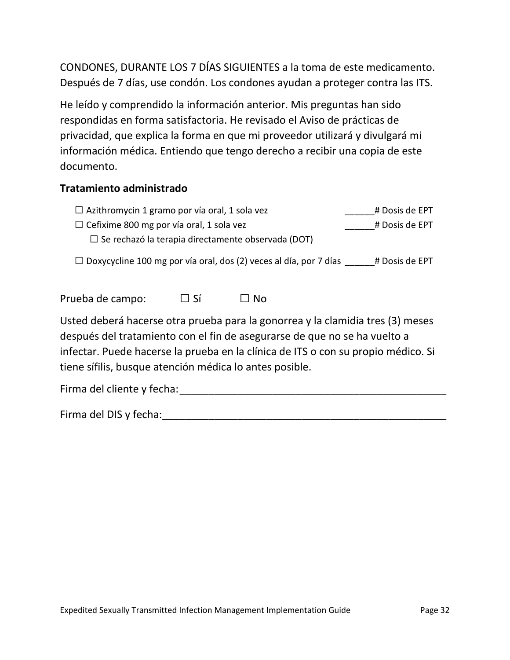CONDONES, DURANTE LOS 7 DÍAS SIGUIENTES a la toma de este medicamento. Después de 7 días, use condón. Los condones ayudan a proteger contra las ITS.

He leído y comprendido la información anterior. Mis preguntas han sido respondidas en forma satisfactoria. He revisado el Aviso de prácticas de privacidad, que explica la forma en que mi proveedor utilizará y divulgará mi información médica. Entiendo que tengo derecho a recibir una copia de este documento.

#### **Tratamiento administrado**

| $\Box$ Azithromycin 1 gramo por vía oral, 1 sola vez      | # Dosis de EPT |
|-----------------------------------------------------------|----------------|
| $\Box$ Cefixime 800 mg por vía oral, 1 sola vez           | # Dosis de EPT |
| $\Box$ Se rechazó la terapia directamente observada (DOT) |                |

 $\Box$  Doxycycline 100 mg por vía oral, dos (2) veces al día, por 7 días  $\qquad$  # Dosis de EPT

Prueba de campo:  $\Box$  Sí  $\Box$  No

Usted deberá hacerse otra prueba para la gonorrea y la clamidia tres (3) meses después del tratamiento con el fin de asegurarse de que no se ha vuelto a infectar. Puede hacerse la prueba en la clínica de ITS o con su propio médico. Si tiene sífilis, busque atención médica lo antes posible.

Firma del cliente y fecha: et al. et al. et al. et al. et al. et al. et al. et al. et al. et al. et al. et al.

Firma del DIS y fecha:\_\_\_\_\_\_\_\_\_\_\_\_\_\_\_\_\_\_\_\_\_\_\_\_\_\_\_\_\_\_\_\_\_\_\_\_\_\_\_\_\_\_\_\_\_\_\_\_\_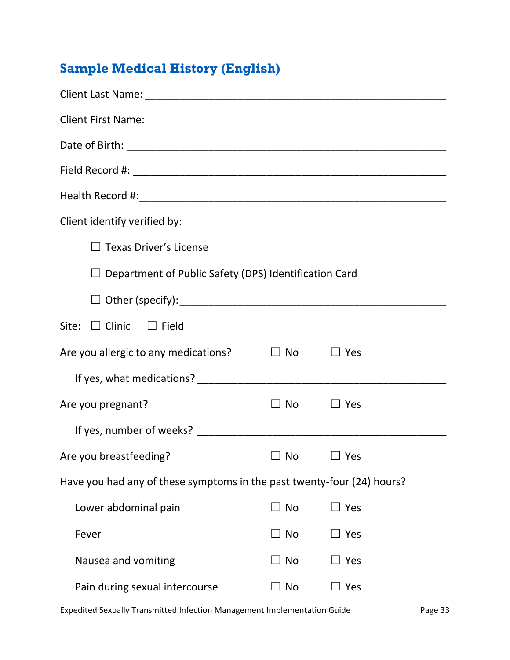# <span id="page-32-0"></span>**Sample Medical History (English)**

| Client identify verified by:                                           |                  |            |  |
|------------------------------------------------------------------------|------------------|------------|--|
| <b>Texas Driver's License</b>                                          |                  |            |  |
| $\Box$ Department of Public Safety (DPS) Identification Card           |                  |            |  |
|                                                                        |                  |            |  |
| Site: $\Box$ Clinic $\Box$ Field                                       |                  |            |  |
| Are you allergic to any medications?                                   | $\Box$ No        | $\Box$ Yes |  |
|                                                                        |                  |            |  |
| Are you pregnant?                                                      | $\Box$ No $\Box$ | $\Box$ Yes |  |
|                                                                        |                  |            |  |
| Are you breastfeeding?                                                 | $\Box$ No        | $\Box$ Yes |  |
| Have you had any of these symptoms in the past twenty-four (24) hours? |                  |            |  |
| Lower abdominal pain                                                   | <b>No</b>        | Yes        |  |
| Fever                                                                  | ]No              | $\Box$ Yes |  |
| Nausea and vomiting                                                    | No               | Yes        |  |
| Pain during sexual intercourse                                         | No               | Yes        |  |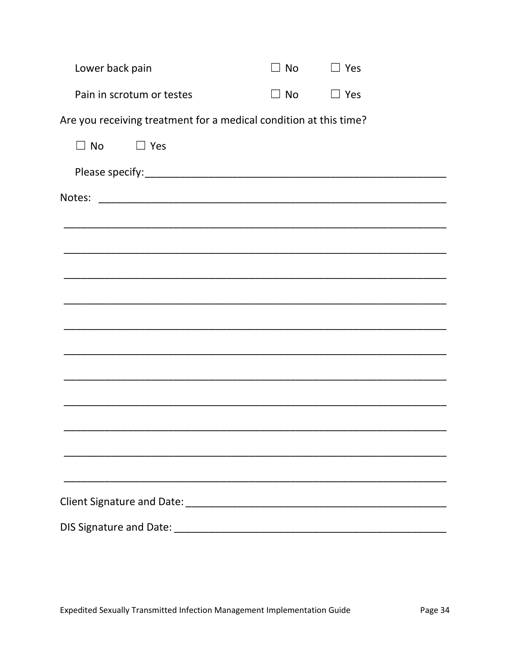| Lower back pain                                                   | No        | $\Box$ Yes |
|-------------------------------------------------------------------|-----------|------------|
| Pain in scrotum or testes                                         | $\Box$ No | $\Box$ Yes |
| Are you receiving treatment for a medical condition at this time? |           |            |
| $\Box$ No<br>$\Box$ Yes                                           |           |            |
|                                                                   |           |            |
| Notes:                                                            |           |            |
|                                                                   |           |            |
|                                                                   |           |            |
|                                                                   |           |            |
| <u> 1989 - Johann Stoff, amerikansk politiker (d. 1989)</u>       |           |            |
|                                                                   |           |            |
|                                                                   |           |            |
|                                                                   |           |            |
|                                                                   |           |            |
|                                                                   |           |            |
|                                                                   |           |            |
|                                                                   |           |            |
|                                                                   |           |            |
|                                                                   |           |            |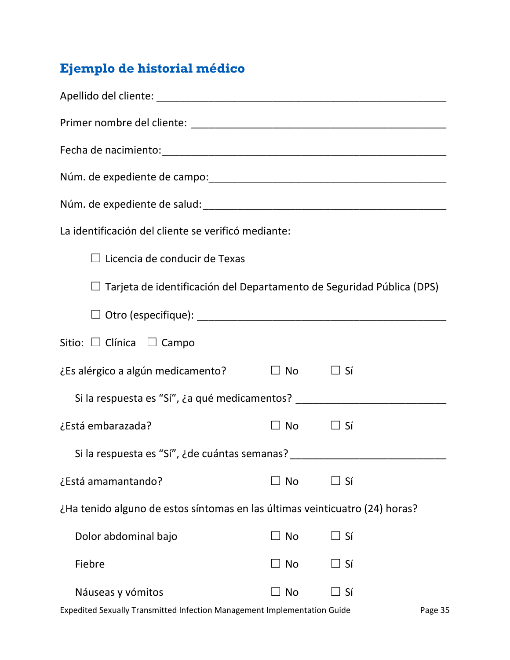# <span id="page-34-0"></span>**Ejemplo de historial médico**

| La identificación del cliente se verificó mediante:                              |                     |           |  |
|----------------------------------------------------------------------------------|---------------------|-----------|--|
| $\Box$ Licencia de conducir de Texas                                             |                     |           |  |
| $\Box$ Tarjeta de identificación del Departamento de Seguridad Pública (DPS)     |                     |           |  |
|                                                                                  |                     |           |  |
| Sitio: $\Box$ Clínica $\Box$ Campo                                               |                     |           |  |
| ¿Es alérgico a algún medicamento?                                                | $\Box$ No $\Box$ Sí |           |  |
| Si la respuesta es "Sí", ¿a qué medicamentos? __________________________________ |                     |           |  |
| ¿Está embarazada?                                                                | $\Box$ No $\Box$    | $\Box$ Sí |  |
| Si la respuesta es "Sí", ¿de cuántas semanas?                                    |                     |           |  |
| ¿Está amamantando?                                                               | $\Box$ No           | ∐ Sí      |  |
| ¿Ha tenido alguno de estos síntomas en las últimas veinticuatro (24) horas?      |                     |           |  |
| Dolor abdominal bajo                                                             | $\Box$ No           | $\Box$ Sí |  |
| Fiebre                                                                           | $\Box$ No           | $\Box$ Sí |  |
| Náuseas y vómitos                                                                | $\Box$ No           | ∐ Sí      |  |
|                                                                                  |                     |           |  |

Expedited Sexually Transmitted Infection Management Implementation Guide Page 35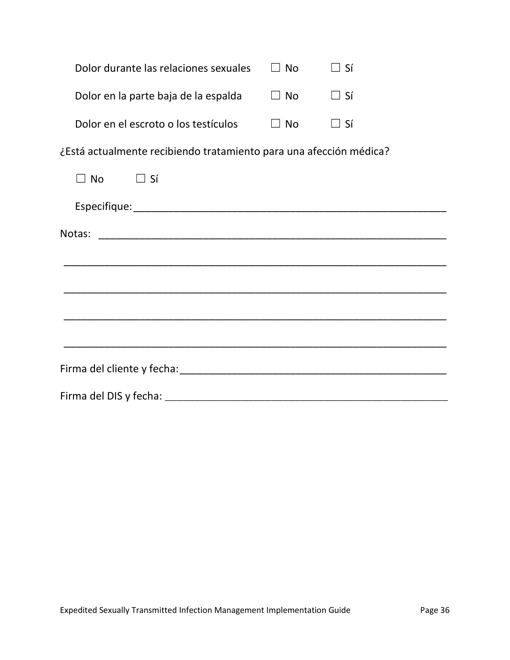| Dolor durante las relaciones sexuales | $\Box$ No | $\perp$ Sí       |
|---------------------------------------|-----------|------------------|
| Dolor en la parte baja de la espalda  | $\Box$ No | $\perp$ Sí       |
| Dolor en el escroto o los testículos  | $\Box$ No | $\perp$ $\leq$ í |

¿Está actualmente recibiendo tratamiento para una afección médica?

| $\Box$ No $\Box$ Sí |  |  |  |
|---------------------|--|--|--|
|                     |  |  |  |
|                     |  |  |  |
|                     |  |  |  |
|                     |  |  |  |
|                     |  |  |  |
|                     |  |  |  |
|                     |  |  |  |
|                     |  |  |  |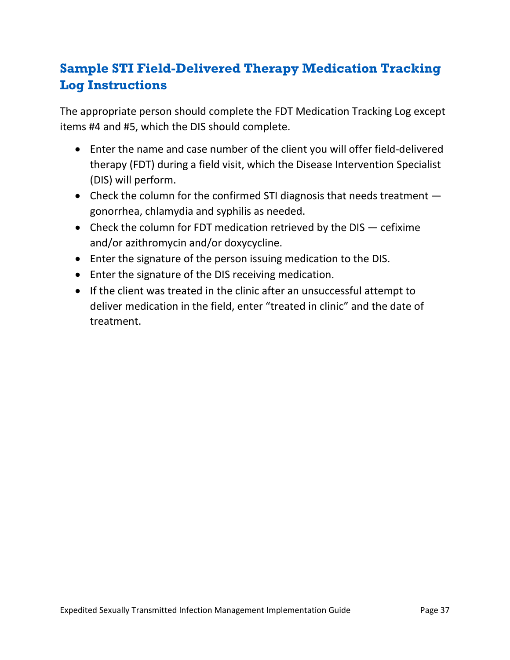# <span id="page-36-0"></span>**Sample STI Field-Delivered Therapy Medication Tracking Log Instructions**

The appropriate person should complete the FDT Medication Tracking Log except items #4 and #5, which the DIS should complete.

- Enter the name and case number of the client you will offer field-delivered therapy (FDT) during a field visit, which the Disease Intervention Specialist (DIS) will perform.
- Check the column for the confirmed STI diagnosis that needs treatment  $$ gonorrhea, chlamydia and syphilis as needed.
- Check the column for FDT medication retrieved by the DIS cefixime and/or azithromycin and/or doxycycline.
- Enter the signature of the person issuing medication to the DIS.
- Enter the signature of the DIS receiving medication.
- If the client was treated in the clinic after an unsuccessful attempt to deliver medication in the field, enter "treated in clinic" and the date of treatment.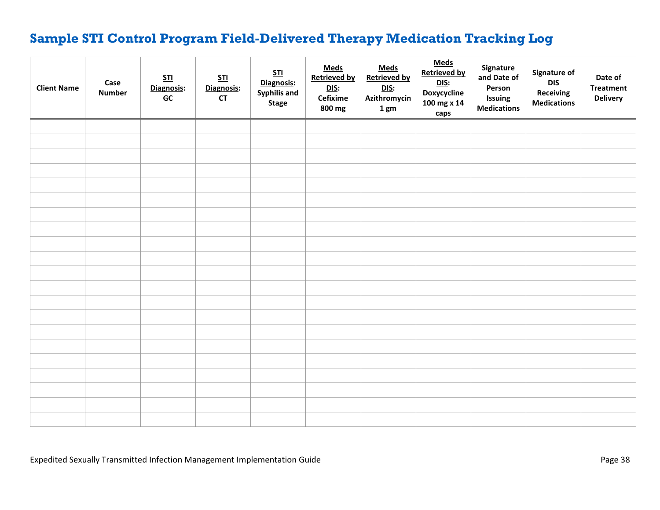# **Sample STI Control Program Field-Delivered Therapy Medication Tracking Log**

<span id="page-37-0"></span>

| <b>Client Name</b> | Case<br><b>Number</b> | STl<br>Diagnosis:<br>GC | STI<br>Diagnosis:<br>CT | STI<br>Diagnosis:<br><b>Syphilis and</b><br><b>Stage</b> | <b>Meds</b><br><b>Retrieved by</b><br><u>DIS:</u><br>Cefixime<br>800 mg | <b>Meds</b><br><b>Retrieved by</b><br><u>DIS:</u><br>Azithromycin<br>1 gm | <b>Meds</b><br><b>Retrieved by</b><br><u>DIS:</u><br>Doxycycline<br>100 mg x 14<br>caps | Signature<br>and Date of<br>Person<br>Issuing<br><b>Medications</b> | Signature of<br><b>DIS</b><br><b>Receiving</b><br><b>Medications</b> | Date of<br><b>Treatment</b><br><b>Delivery</b> |
|--------------------|-----------------------|-------------------------|-------------------------|----------------------------------------------------------|-------------------------------------------------------------------------|---------------------------------------------------------------------------|-----------------------------------------------------------------------------------------|---------------------------------------------------------------------|----------------------------------------------------------------------|------------------------------------------------|
|                    |                       |                         |                         |                                                          |                                                                         |                                                                           |                                                                                         |                                                                     |                                                                      |                                                |
|                    |                       |                         |                         |                                                          |                                                                         |                                                                           |                                                                                         |                                                                     |                                                                      |                                                |
|                    |                       |                         |                         |                                                          |                                                                         |                                                                           |                                                                                         |                                                                     |                                                                      |                                                |
|                    |                       |                         |                         |                                                          |                                                                         |                                                                           |                                                                                         |                                                                     |                                                                      |                                                |
|                    |                       |                         |                         |                                                          |                                                                         |                                                                           |                                                                                         |                                                                     |                                                                      |                                                |
|                    |                       |                         |                         |                                                          |                                                                         |                                                                           |                                                                                         |                                                                     |                                                                      |                                                |
|                    |                       |                         |                         |                                                          |                                                                         |                                                                           |                                                                                         |                                                                     |                                                                      |                                                |
|                    |                       |                         |                         |                                                          |                                                                         |                                                                           |                                                                                         |                                                                     |                                                                      |                                                |
|                    |                       |                         |                         |                                                          |                                                                         |                                                                           |                                                                                         |                                                                     |                                                                      |                                                |
|                    |                       |                         |                         |                                                          |                                                                         |                                                                           |                                                                                         |                                                                     |                                                                      |                                                |
|                    |                       |                         |                         |                                                          |                                                                         |                                                                           |                                                                                         |                                                                     |                                                                      |                                                |
|                    |                       |                         |                         |                                                          |                                                                         |                                                                           |                                                                                         |                                                                     |                                                                      |                                                |
|                    |                       |                         |                         |                                                          |                                                                         |                                                                           |                                                                                         |                                                                     |                                                                      |                                                |
|                    |                       |                         |                         |                                                          |                                                                         |                                                                           |                                                                                         |                                                                     |                                                                      |                                                |
|                    |                       |                         |                         |                                                          |                                                                         |                                                                           |                                                                                         |                                                                     |                                                                      |                                                |
|                    |                       |                         |                         |                                                          |                                                                         |                                                                           |                                                                                         |                                                                     |                                                                      |                                                |
|                    |                       |                         |                         |                                                          |                                                                         |                                                                           |                                                                                         |                                                                     |                                                                      |                                                |
|                    |                       |                         |                         |                                                          |                                                                         |                                                                           |                                                                                         |                                                                     |                                                                      |                                                |
|                    |                       |                         |                         |                                                          |                                                                         |                                                                           |                                                                                         |                                                                     |                                                                      |                                                |
|                    |                       |                         |                         |                                                          |                                                                         |                                                                           |                                                                                         |                                                                     |                                                                      |                                                |
|                    |                       |                         |                         |                                                          |                                                                         |                                                                           |                                                                                         |                                                                     |                                                                      |                                                |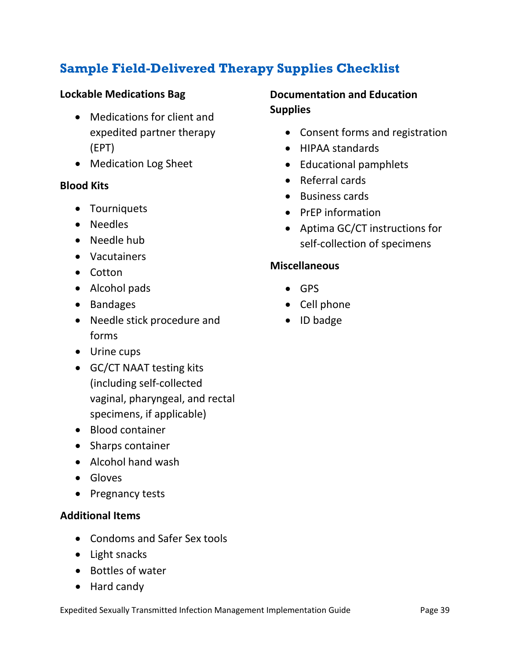# <span id="page-38-0"></span>**Sample Field-Delivered Therapy Supplies Checklist**

#### **Lockable Medications Bag**

- Medications for client and expedited partner therapy (EPT)
- Medication Log Sheet

#### **Blood Kits**

- Tourniquets
- Needles
- Needle hub
- Vacutainers
- Cotton
- Alcohol pads
- Bandages
- Needle stick procedure and forms
- Urine cups
- GC/CT NAAT testing kits (including self-collected vaginal, pharyngeal, and rectal specimens, if applicable)
- Blood container
- Sharps container
- Alcohol hand wash
- Gloves
- Pregnancy tests

#### **Additional Items**

- Condoms and Safer Sex tools
- Light snacks
- Bottles of water
- Hard candy

#### **Documentation and Education Supplies**

- Consent forms and registration
- HIPAA standards
- Educational pamphlets
- Referral cards
- Business cards
- PrEP information
- Aptima GC/CT instructions for self-collection of specimens

#### **Miscellaneous**

- GPS
- Cell phone
- ID badge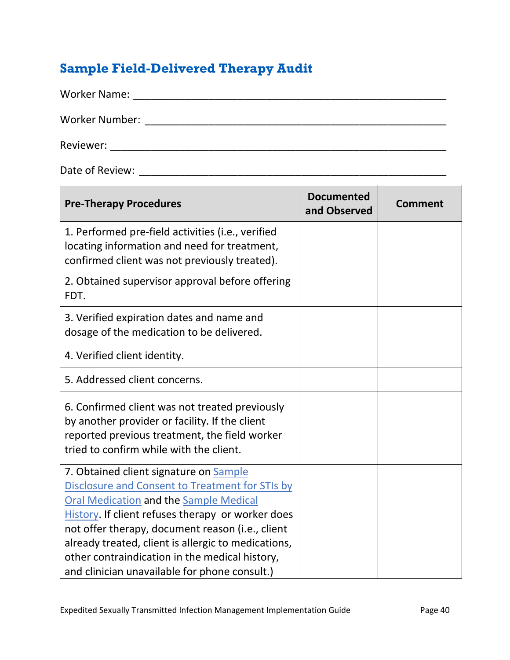# <span id="page-39-0"></span>**Sample Field-Delivered Therapy Audit**

| <b>Worker Name:</b>   |  |  |
|-----------------------|--|--|
| <b>Worker Number:</b> |  |  |
| Reviewer:             |  |  |

the control of the control of the control of the control of the control of the control of the control of the control of the control of the control of the control of the control of the control of the control of the control

Date of Review: \_\_\_\_\_\_\_\_\_\_\_\_\_\_\_\_\_\_\_\_\_\_\_\_\_\_\_\_\_\_\_\_\_\_\_\_\_\_\_\_\_\_\_\_\_\_\_\_\_\_\_\_\_

| <b>Pre-Therapy Procedures</b>                                                                                                                                                                                                                                                                                                                                                                                 | <b>Documented</b><br>and Observed | Comment |
|---------------------------------------------------------------------------------------------------------------------------------------------------------------------------------------------------------------------------------------------------------------------------------------------------------------------------------------------------------------------------------------------------------------|-----------------------------------|---------|
| 1. Performed pre-field activities (i.e., verified<br>locating information and need for treatment,<br>confirmed client was not previously treated).                                                                                                                                                                                                                                                            |                                   |         |
| 2. Obtained supervisor approval before offering<br>FDT.                                                                                                                                                                                                                                                                                                                                                       |                                   |         |
| 3. Verified expiration dates and name and<br>dosage of the medication to be delivered.                                                                                                                                                                                                                                                                                                                        |                                   |         |
| 4. Verified client identity.                                                                                                                                                                                                                                                                                                                                                                                  |                                   |         |
| 5. Addressed client concerns.                                                                                                                                                                                                                                                                                                                                                                                 |                                   |         |
| 6. Confirmed client was not treated previously<br>by another provider or facility. If the client<br>reported previous treatment, the field worker<br>tried to confirm while with the client.                                                                                                                                                                                                                  |                                   |         |
| 7. Obtained client signature on Sample<br>Disclosure and Consent to Treatment for STIs by<br><b>Oral Medication and the Sample Medical</b><br>History. If client refuses therapy or worker does<br>not offer therapy, document reason (i.e., client<br>already treated, client is allergic to medications,<br>other contraindication in the medical history,<br>and clinician unavailable for phone consult.) |                                   |         |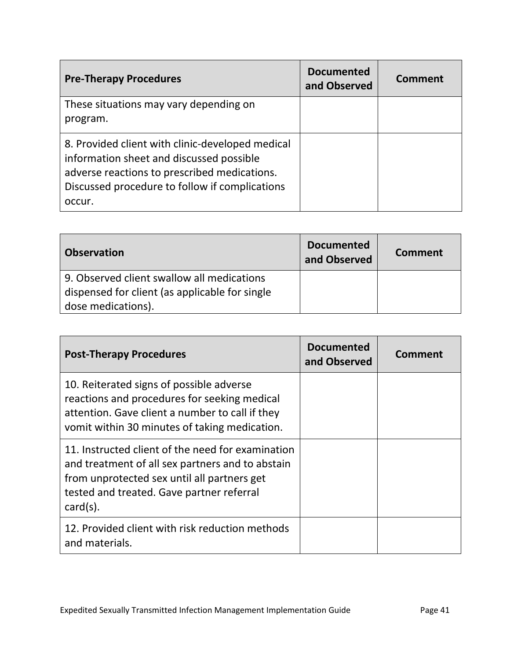| <b>Pre-Therapy Procedures</b>                                                                                                                                                                            | <b>Documented</b><br>and Observed | <b>Comment</b> |
|----------------------------------------------------------------------------------------------------------------------------------------------------------------------------------------------------------|-----------------------------------|----------------|
| These situations may vary depending on<br>program.                                                                                                                                                       |                                   |                |
| 8. Provided client with clinic-developed medical<br>information sheet and discussed possible<br>adverse reactions to prescribed medications.<br>Discussed procedure to follow if complications<br>occur. |                                   |                |

| <b>Observation</b>                             | <b>Documented</b><br>and Observed | Comment |
|------------------------------------------------|-----------------------------------|---------|
| 9. Observed client swallow all medications     |                                   |         |
| dispensed for client (as applicable for single |                                   |         |
| dose medications).                             |                                   |         |

| <b>Post-Therapy Procedures</b>                                                                                                                                                                                   | <b>Documented</b><br>and Observed | Comment |
|------------------------------------------------------------------------------------------------------------------------------------------------------------------------------------------------------------------|-----------------------------------|---------|
| 10. Reiterated signs of possible adverse<br>reactions and procedures for seeking medical<br>attention. Gave client a number to call if they<br>vomit within 30 minutes of taking medication.                     |                                   |         |
| 11. Instructed client of the need for examination<br>and treatment of all sex partners and to abstain<br>from unprotected sex until all partners get<br>tested and treated. Gave partner referral<br>$card(s)$ . |                                   |         |
| 12. Provided client with risk reduction methods<br>and materials.                                                                                                                                                |                                   |         |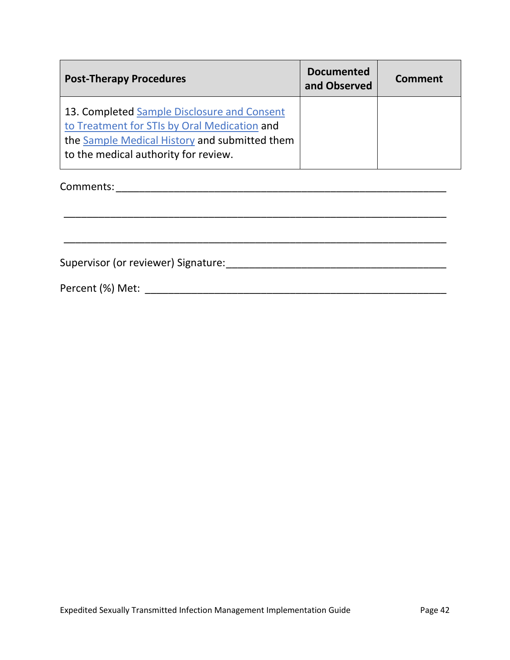| <b>Post-Therapy Procedures</b>                                                                                                                                                       | <b>Documented</b><br>and Observed | Comment |
|--------------------------------------------------------------------------------------------------------------------------------------------------------------------------------------|-----------------------------------|---------|
| 13. Completed Sample Disclosure and Consent<br>to Treatment for STIs by Oral Medication and<br>the Sample Medical History and submitted them<br>to the medical authority for review. |                                   |         |

\_\_\_\_\_\_\_\_\_\_\_\_\_\_\_\_\_\_\_\_\_\_\_\_\_\_\_\_\_\_\_\_\_\_\_\_\_\_\_\_\_\_\_\_\_\_\_\_\_\_\_\_\_\_\_\_\_\_\_\_\_\_\_\_\_\_

Comments:\_\_\_\_\_\_\_\_\_\_\_\_\_\_\_\_\_\_\_\_\_\_\_\_\_\_\_\_\_\_\_\_\_\_\_\_\_\_\_\_\_\_\_\_\_\_\_\_\_\_\_\_\_\_\_\_\_

Supervisor (or reviewer) Signature:\_\_\_\_\_\_\_\_\_\_\_\_\_\_\_\_\_\_\_\_\_\_\_\_\_\_\_\_\_\_\_\_\_\_\_\_\_\_

Percent (%) Met: \_\_\_\_\_\_\_\_\_\_\_\_\_\_\_\_\_\_\_\_\_\_\_\_\_\_\_\_\_\_\_\_\_\_\_\_\_\_\_\_\_\_\_\_\_\_\_\_\_\_\_\_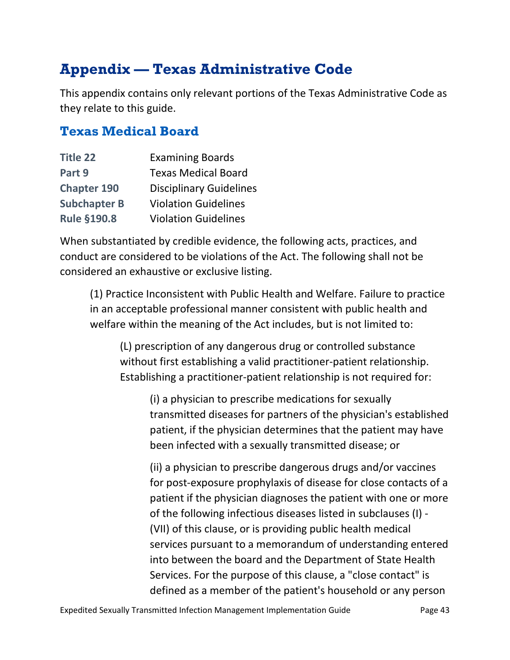# <span id="page-42-0"></span>**Appendix — Texas Administrative Code**

This appendix contains only relevant portions of the Texas Administrative Code as they relate to this guide.

#### <span id="page-42-1"></span>**Texas Medical Board**

| <b>Title 22</b>     | <b>Examining Boards</b>        |
|---------------------|--------------------------------|
| Part 9              | <b>Texas Medical Board</b>     |
| <b>Chapter 190</b>  | <b>Disciplinary Guidelines</b> |
| <b>Subchapter B</b> | <b>Violation Guidelines</b>    |
| <b>Rule §190.8</b>  | <b>Violation Guidelines</b>    |

When substantiated by credible evidence, the following acts, practices, and conduct are considered to be violations of the Act. The following shall not be considered an exhaustive or exclusive listing.

(1) Practice Inconsistent with Public Health and Welfare. Failure to practice in an acceptable professional manner consistent with public health and welfare within the meaning of the Act includes, but is not limited to:

(L) prescription of any dangerous drug or controlled substance without first establishing a valid practitioner-patient relationship. Establishing a practitioner-patient relationship is not required for:

(i) a physician to prescribe medications for sexually transmitted diseases for partners of the physician's established patient, if the physician determines that the patient may have been infected with a sexually transmitted disease; or

(ii) a physician to prescribe dangerous drugs and/or vaccines for post-exposure prophylaxis of disease for close contacts of a patient if the physician diagnoses the patient with one or more of the following infectious diseases listed in subclauses (I) - (VII) of this clause, or is providing public health medical services pursuant to a memorandum of understanding entered into between the board and the Department of State Health Services. For the purpose of this clause, a "close contact" is defined as a member of the patient's household or any person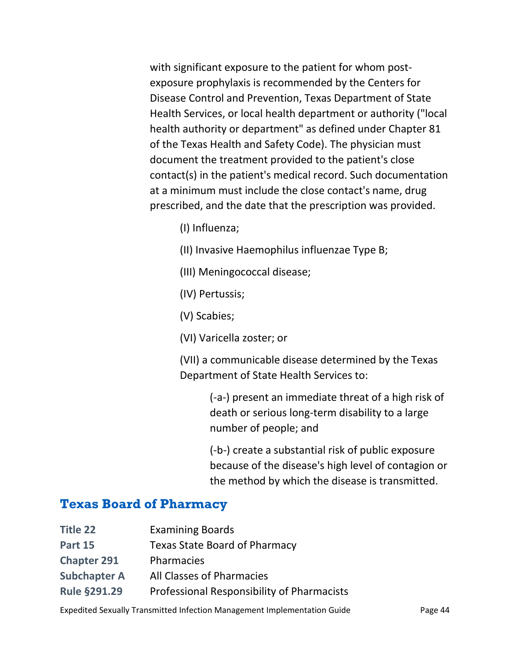with significant exposure to the patient for whom postexposure prophylaxis is recommended by the Centers for Disease Control and Prevention, Texas Department of State Health Services, or local health department or authority ("local health authority or department" as defined under Chapter 81 of the Texas Health and Safety Code). The physician must document the treatment provided to the patient's close contact(s) in the patient's medical record. Such documentation at a minimum must include the close contact's name, drug prescribed, and the date that the prescription was provided.

- (I) Influenza;
- (II) Invasive Haemophilus influenzae Type B;
- (III) Meningococcal disease;
- (IV) Pertussis;
- (V) Scabies;
- (VI) Varicella zoster; or

(VII) a communicable disease determined by the Texas Department of State Health Services to:

> (-a-) present an immediate threat of a high risk of death or serious long-term disability to a large number of people; and

> (-b-) create a substantial risk of public exposure because of the disease's high level of contagion or the method by which the disease is transmitted.

#### <span id="page-43-0"></span>**Texas Board of Pharmacy**

| Title 22            | <b>Examining Boards</b>                    |
|---------------------|--------------------------------------------|
| <b>Part 15</b>      | <b>Texas State Board of Pharmacy</b>       |
| <b>Chapter 291</b>  | Pharmacies                                 |
| <b>Subchapter A</b> | All Classes of Pharmacies                  |
| <b>Rule §291.29</b> | Professional Responsibility of Pharmacists |

Expedited Sexually Transmitted Infection Management Implementation Guide Page 44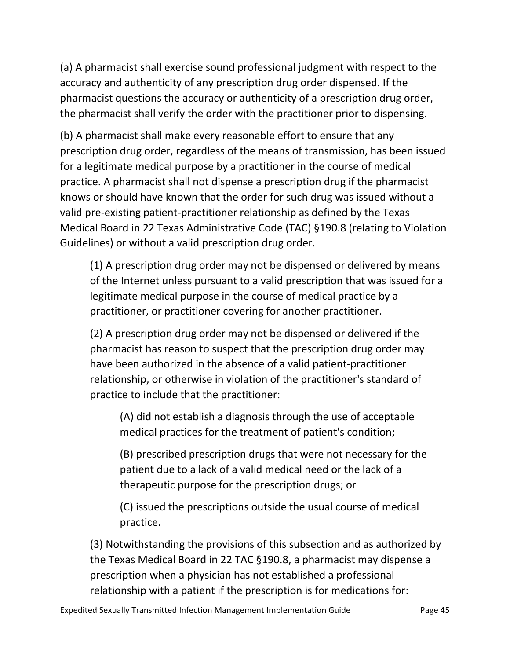(a) A pharmacist shall exercise sound professional judgment with respect to the accuracy and authenticity of any prescription drug order dispensed. If the pharmacist questions the accuracy or authenticity of a prescription drug order, the pharmacist shall verify the order with the practitioner prior to dispensing.

(b) A pharmacist shall make every reasonable effort to ensure that any prescription drug order, regardless of the means of transmission, has been issued for a legitimate medical purpose by a practitioner in the course of medical practice. A pharmacist shall not dispense a prescription drug if the pharmacist knows or should have known that the order for such drug was issued without a valid pre-existing patient-practitioner relationship as defined by the Texas Medical Board in 22 Texas Administrative Code (TAC) §190.8 (relating to Violation Guidelines) or without a valid prescription drug order.

(1) A prescription drug order may not be dispensed or delivered by means of the Internet unless pursuant to a valid prescription that was issued for a legitimate medical purpose in the course of medical practice by a practitioner, or practitioner covering for another practitioner.

(2) A prescription drug order may not be dispensed or delivered if the pharmacist has reason to suspect that the prescription drug order may have been authorized in the absence of a valid patient-practitioner relationship, or otherwise in violation of the practitioner's standard of practice to include that the practitioner:

(A) did not establish a diagnosis through the use of acceptable medical practices for the treatment of patient's condition;

(B) prescribed prescription drugs that were not necessary for the patient due to a lack of a valid medical need or the lack of a therapeutic purpose for the prescription drugs; or

(C) issued the prescriptions outside the usual course of medical practice.

(3) Notwithstanding the provisions of this subsection and as authorized by the Texas Medical Board in 22 TAC §190.8, a pharmacist may dispense a prescription when a physician has not established a professional relationship with a patient if the prescription is for medications for: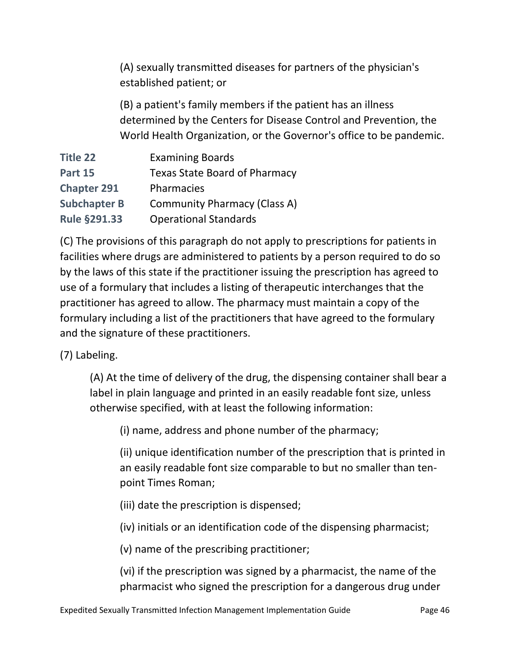(A) sexually transmitted diseases for partners of the physician's established patient; or

(B) a patient's family members if the patient has an illness determined by the Centers for Disease Control and Prevention, the World Health Organization, or the Governor's office to be pandemic.

| <b>Title 22</b>     | <b>Examining Boards</b>              |
|---------------------|--------------------------------------|
| <b>Part 15</b>      | <b>Texas State Board of Pharmacy</b> |
| <b>Chapter 291</b>  | Pharmacies                           |
| <b>Subchapter B</b> | <b>Community Pharmacy (Class A)</b>  |
| <b>Rule §291.33</b> | <b>Operational Standards</b>         |

(C) The provisions of this paragraph do not apply to prescriptions for patients in facilities where drugs are administered to patients by a person required to do so by the laws of this state if the practitioner issuing the prescription has agreed to use of a formulary that includes a listing of therapeutic interchanges that the practitioner has agreed to allow. The pharmacy must maintain a copy of the formulary including a list of the practitioners that have agreed to the formulary and the signature of these practitioners.

#### (7) Labeling.

(A) At the time of delivery of the drug, the dispensing container shall bear a label in plain language and printed in an easily readable font size, unless otherwise specified, with at least the following information:

(i) name, address and phone number of the pharmacy;

(ii) unique identification number of the prescription that is printed in an easily readable font size comparable to but no smaller than tenpoint Times Roman;

(iii) date the prescription is dispensed;

(iv) initials or an identification code of the dispensing pharmacist;

(v) name of the prescribing practitioner;

(vi) if the prescription was signed by a pharmacist, the name of the pharmacist who signed the prescription for a dangerous drug under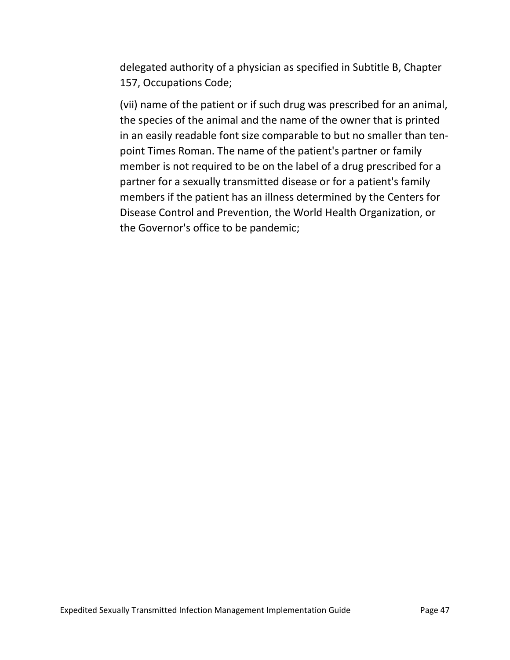delegated authority of a physician as specified in Subtitle B, Chapter 157, Occupations Code;

(vii) name of the patient or if such drug was prescribed for an animal, the species of the animal and the name of the owner that is printed in an easily readable font size comparable to but no smaller than tenpoint Times Roman. The name of the patient's partner or family member is not required to be on the label of a drug prescribed for a partner for a sexually transmitted disease or for a patient's family members if the patient has an illness determined by the Centers for Disease Control and Prevention, the World Health Organization, or the Governor's office to be pandemic;